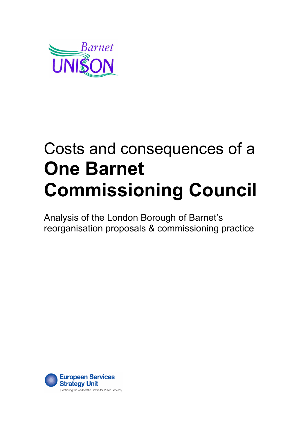

# Costs and consequences of a **One Barnet Commissioning Council**

Analysis of the London Borough of Barnet's reorganisation proposals & commissioning practice

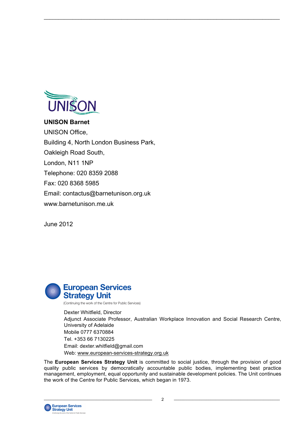

### **UNISON Barnet**

UNISON Office, Building 4, North London Business Park, Oakleigh Road South, London, N11 1NP Telephone: 020 8359 2088 Fax: 020 8368 5985 Email: contactus@barnetunison.org.uk www.barnetunison.me.uk

June 2012



 Dexter Whitfield, Director Adjunct Associate Professor, Australian Workplace Innovation and Social Research Centre, University of Adelaide Mobile 0777 6370884 Tel. +353 66 7130225 Email: dexter.whitfield@gmail.com Web: www.european-services-strategy.org.uk

The **European Services Strategy Unit** is committed to social justice, through the provision of good quality public services by democratically accountable public bodies, implementing best practice management, employment, equal opportunity and sustainable development policies. The Unit continues the work of the Centre for Public Services, which began in 1973.

 $\_$  , and the state of the state of the state of the state of the state of the state of the state of the state of the state of the state of the state of the state of the state of the state of the state of the state of the

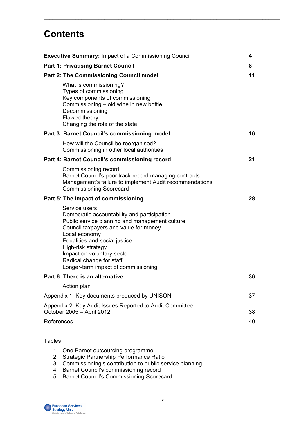# **Contents**

| <b>Executive Summary: Impact of a Commissioning Council</b>                                                                                                                                                                                                                                                                      | 4  |
|----------------------------------------------------------------------------------------------------------------------------------------------------------------------------------------------------------------------------------------------------------------------------------------------------------------------------------|----|
| <b>Part 1: Privatising Barnet Council</b>                                                                                                                                                                                                                                                                                        | 8  |
| <b>Part 2: The Commissioning Council model</b>                                                                                                                                                                                                                                                                                   | 11 |
| What is commissioning?<br>Types of commissioning<br>Key components of commissioning<br>Commissioning - old wine in new bottle<br>Decommissioning<br>Flawed theory<br>Changing the role of the state                                                                                                                              |    |
| Part 3: Barnet Council's commissioning model                                                                                                                                                                                                                                                                                     | 16 |
| How will the Council be reorganised?<br>Commissioning in other local authorities                                                                                                                                                                                                                                                 |    |
| Part 4: Barnet Council's commissioning record                                                                                                                                                                                                                                                                                    | 21 |
| Commissioning record<br>Barnet Council's poor track record managing contracts<br>Management's failure to implement Audit recommendations<br><b>Commissioning Scorecard</b>                                                                                                                                                       |    |
| Part 5: The impact of commissioning                                                                                                                                                                                                                                                                                              | 28 |
| Service users<br>Democratic accountability and participation<br>Public service planning and management culture<br>Council taxpayers and value for money<br>Local economy<br>Equalities and social justice<br>High-risk strategy<br>Impact on voluntary sector<br>Radical change for staff<br>Longer-term impact of commissioning |    |
| Part 6: There is an alternative                                                                                                                                                                                                                                                                                                  | 36 |
| Action plan                                                                                                                                                                                                                                                                                                                      |    |
| Appendix 1: Key documents produced by UNISON                                                                                                                                                                                                                                                                                     | 37 |
| Appendix 2: Key Audit Issues Reported to Audit Committee<br>October 2005 - April 2012                                                                                                                                                                                                                                            | 38 |
| References                                                                                                                                                                                                                                                                                                                       | 40 |
| <b>Tables</b>                                                                                                                                                                                                                                                                                                                    |    |

 $\_$  , and the state of the state of the state of the state of the state of the state of the state of the state of the state of the state of the state of the state of the state of the state of the state of the state of the

- 1. One Barnet outsourcing programme
- 2. Strategic Partnership Performance Ratio
- 3. Commissioning's contribution to public service planning
- 4. Barnet Council's commissioning record
- 5. Barnet Council's Commissioning Scorecard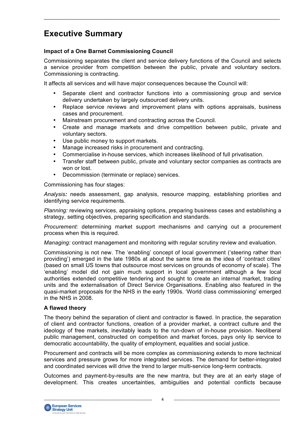# **Executive Summary**

### **Impact of a One Barnet Commissioning Council**

Commissioning separates the client and service delivery functions of the Council and selects a service provider from competition between the public, private and voluntary sectors. Commissioning is contracting.

 $\_$  , and the state of the state of the state of the state of the state of the state of the state of the state of the state of the state of the state of the state of the state of the state of the state of the state of the

It affects all services and will have major consequences because the Council will:

- Separate client and contractor functions into a commissioning group and service delivery undertaken by largely outsourced delivery units.
- Replace service reviews and improvement plans with options appraisals, business cases and procurement.
- Mainstream procurement and contracting across the Council.
- Create and manage markets and drive competition between public, private and voluntary sectors.
- Use public money to support markets.
- Manage increased risks in procurement and contracting.
- Commercialise in-house services, which increases likelihood of full privatisation.
- Transfer staff between public, private and voluntary sector companies as contracts are won or lost.
- Decommission (terminate or replace) services.

Commissioning has four stages:

*Analysis:* needs assessment, gap analysis, resource mapping, establishing priorities and identifying service requirements.

*Planning:* reviewing services, appraising options, preparing business cases and establishing a strategy, setting objectives, preparing specification and standards.

*Procurement:* determining market support mechanisms and carrying out a procurement process when this is required.

*Managing:* contract management and monitoring with regular scrutiny review and evaluation.

Commissioning is not new. The 'enabling' concept of local government ('steering rather than providing') emerged in the late 1980s at about the same time as the idea of 'contract cities' (based on small US towns that outsource most services on grounds of economy of scale). The 'enabling' model did not gain much support in local government although a few local authorities extended competitive tendering and sought to create an internal market, trading units and the externalisation of Direct Service Organisations. Enabling also featured in the quasi-market proposals for the NHS in the early 1990s. 'World class commissioning' emerged in the NHS in 2008.

#### **A flawed theory**

The theory behind the separation of client and contractor is flawed. In practice, the separation of client and contractor functions, creation of a provider market, a contract culture and the ideology of free markets, inevitably leads to the run-down of in-house provision. Neoliberal public management, constructed on competition and market forces, pays only lip service to democratic accountability, the quality of employment, equalities and social justice.

Procurement and contracts will be more complex as commissioning extends to more technical services and pressure grows for more integrated services. The demand for better-integrated and coordinated services will drive the trend to larger multi-service long-term contracts.

Outcomes and payment-by-results are the new mantra, but they are at an early stage of development. This creates uncertainties, ambiguities and potential conflicts because

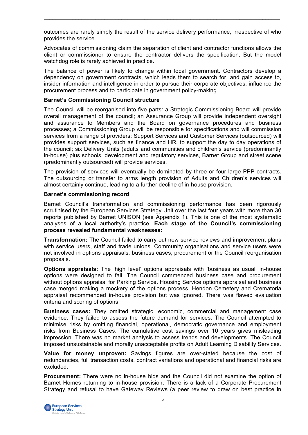outcomes are rarely simply the result of the service delivery performance, irrespective of who provides the service.

 $\_$  , and the state of the state of the state of the state of the state of the state of the state of the state of the state of the state of the state of the state of the state of the state of the state of the state of the

Advocates of commissioning claim the separation of client and contractor functions allows the client or commissioner to ensure the contractor delivers the specification. But the model watchdog role is rarely achieved in practice.

The balance of power is likely to change within local government. Contractors develop a dependency on government contracts, which leads them to search for, and gain access to, insider information and intelligence in order to pursue their corporate objectives, influence the procurement process and to participate in government policy-making.

#### **Barnet's Commissioning Council structure**

The Council will be reorganised into five parts: a Strategic Commissioning Board will provide overall management of the council; an Assurance Group will provide independent oversight and assurance to Members and the Board on governance procedures and business processes; a Commissioning Group will be responsible for specifications and will commission services from a range of providers; Support Services and Customer Services (outsourced) will provides support services, such as finance and HR, to support the day to day operations of the council; six Delivery Units (adults and communities and children's service (predominantly in-house) plus schools, development and regulatory services, Barnet Group and street scene (predominantly outsourced) will provide services.

The provision of services will eventually be dominated by three or four large PPP contracts. The outsourcing or transfer to arms length provision of Adults and Children's services will almost certainly continue, leading to a further decline of in-house provision.

#### **Barnet's commissioning record**

Barnet Council's transformation and commissioning performance has been rigorously scrutinised by the European Services Strategy Unit over the last four years with more than 30 reports published by Barnet UNISON (see Appendix 1). This is one of the most systematic analyses of a local authority's practice. **Each stage of the Council's commissioning process revealed fundamental weaknesses:**

**Transformation:** The Council failed to carry out new service reviews and improvement plans with service users, staff and trade unions. Community organisations and service users were not involved in options appraisals, business cases, procurement or the Council reorganisation proposals.

**Options appraisals:** The 'high level' options appraisals with 'business as usual' in-house options were designed to fail. The Council commenced business case and procurement without options appraisal for Parking Service. Housing Service options appraisal and business case merged making a mockery of the options process. Hendon Cemetery and Crematoria appraisal recommended in-house provision but was ignored. There was flawed evaluation criteria and scoring of options.

**Business cases:** They omitted strategic, economic, commercial and management case evidence. They failed to assess the future demand for services. The Council attempted to minimise risks by omitting financial, operational, democratic governance and employment risks from Business Cases. The cumulative cost savings over 10 years gives misleading impression. There was no market analysis to assess trends and developments. The Council imposed unsustainable and morally unacceptable profits on Adult Learning Disability Services.

**Value for money unproven:** Savings figures are over-stated because the cost of redundancies, full transaction costs, contract variations and operational and financial risks are excluded.

**Procurement:** There were no in-house bids and the Council did not examine the option of Barnet Homes returning to in-house provision**.** There is a lack of a Corporate Procurement Strategy and refusal to have Gateway Reviews (a peer review to draw on best practice in

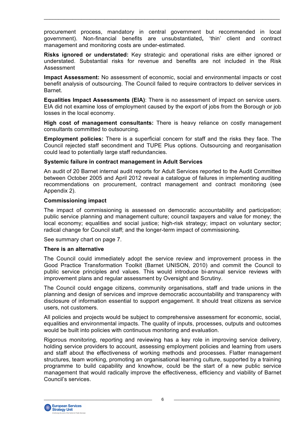procurement process, mandatory in central government but recommended in local government). Non-financial benefits are unsubstantiated**,** 'thin' client and contract management and monitoring costs are under-estimated.

 $\_$  , and the state of the state of the state of the state of the state of the state of the state of the state of the state of the state of the state of the state of the state of the state of the state of the state of the

**Risks ignored or understated:** Key strategic and operational risks are either ignored or understated. Substantial risks for revenue and benefits are not included in the Risk Assessment

**Impact Assessment:** No assessment of economic, social and environmental impacts or cost benefit analysis of outsourcing. The Council failed to require contractors to deliver services in Barnet.

**Equalities Impact Assessments (EIA)**: There is no assessment of impact on service users. EIA did not examine loss of employment caused by the export of jobs from the Borough or job losses in the local economy.

**High cost of management consultants:** There is heavy reliance on costly management consultants committed to outsourcing.

**Employment policies:** There is a superficial concern for staff and the risks they face. The Council rejected staff secondment and TUPE Plus options. Outsourcing and reorganisation could lead to potentially large staff redundancies.

#### **Systemic failure in contract management in Adult Services**

An audit of 20 Barnet internal audit reports for Adult Services reported to the Audit Committee between October 2005 and April 2012 reveal a catalogue of failures in implementing auditing recommendations on procurement, contract management and contract monitoring (see Appendix 2).

#### **Commissioning impact**

The impact of commissioning is assessed on democratic accountability and participation; public service planning and management culture; council taxpayers and value for money; the local economy; equalities and social justice; high-risk strategy; impact on voluntary sector; radical change for Council staff; and the longer-term impact of commissioning.

See summary chart on page 7.

#### **There is an alternative**

The Council could immediately adopt the service review and improvement process in the Good Practice Transformation Toolkit (Barnet UNISON, 2010) and commit the Council to public service principles and values. This would introduce bi-annual service reviews with improvement plans and regular assessment by Oversight and Scrutiny.

The Council could engage citizens, community organisations, staff and trade unions in the planning and design of services and improve democratic accountability and transparency with disclosure of information essential to support engagement. It should treat citizens as service users, not customers.

All policies and projects would be subject to comprehensive assessment for economic, social, equalities and environmental impacts. The quality of inputs, processes, outputs and outcomes would be built into policies with continuous monitoring and evaluation.

Rigorous monitoring, reporting and reviewing has a key role in improving service delivery, holding service providers to account, assessing employment policies and learning from users and staff about the effectiveness of working methods and processes. Flatter management structures, team working, promoting an organisational learning culture, supported by a training programme to build capability and knowhow, could be the start of a new public service management that would radically improve the effectiveness, efficiency and viability of Barnet Council's services.

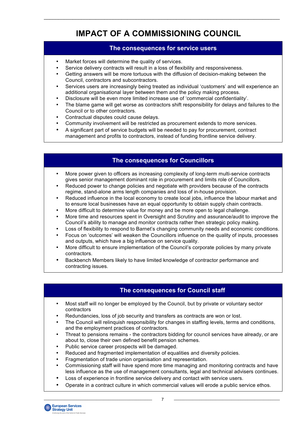# **IMPACT OF A COMMISSIONING COUNCIL**

 $\_$  , and the state of the state of the state of the state of the state of the state of the state of the state of the state of the state of the state of the state of the state of the state of the state of the state of the

### **The consequences for service users**

- Market forces will determine the quality of services.
- Service delivery contracts will result in a loss of flexibility and responsiveness.
- Getting answers will be more tortuous with the diffusion of decision-making between the Council, contractors and subcontractors.
- Services users are increasingly being treated as individual 'customers' and will experience an additional organisational layer between them and the policy making process.
- Disclosure will be even more limited increase use of 'commercial confidentiality'.
- The blame game will get worse as contractors shift responsibility for delays and failures to the Council or to other contractors.
- Contractual disputes could cause delays.
- Community involvement will be restricted as procurement extends to more services.
- A significant part of service budgets will be needed to pay for procurement, contract management and profits to contractors, instead of funding frontline service delivery.

# **The consequences for Councillors**

- More power given to officers as increasing complexity of long-term multi-service contracts gives senior management dominant role in procurement and limits role of Councillors.
- Reduced power to change policies and negotiate with providers because of the contracts regime, stand-alone arms length companies and loss of in-house provision.
- Reduced influence in the local economy to create local jobs, influence the labour market and to ensure local businesses have an equal opportunity to obtain supply chain contracts.
- More difficult to determine value for money and be more open to legal challenge.
- More time and resources spent in Oversight and Scrutiny and assurance/audit to improve the Council's ability to manage and monitor contracts rather then strategic policy making.
- Loss of flexibility to respond to Barnet's changing community needs and economic conditions.
- Focus on 'outcomes' will weaken the Councillors influence on the quality of inputs, processes and outputs, which have a big influence on service quality.
- More difficult to ensure implementation of the Council's corporate policies by many private contractors.
- Backbench Members likely to have limited knowledge of contractor performance and contracting issues.

# **The consequences for Council staff**

- Most staff will no longer be employed by the Council, but by private or voluntary sector contractors
- Redundancies, loss of job security and transfers as contracts are won or lost.
- The Council will relinquish responsibility for changes in staffing levels, terms and conditions, and the employment practices of contractors.
- Threat to pensions remains the contractors bidding for council services have already, or are about to, close their own defined benefit pension schemes.
- Public service career prospects will be damaged.
- Reduced and fragmented implementation of equalities and diversity policies.
- Fragmentation of trade union organisation and representation.
- Commissioning staff will have spend more time managing and monitoring contracts and have less influence as the use of management consultants, legal and technical advisers continues.
- Loss of experience in frontline service delivery and contact with service users.
- Operate in a contract culture in which commercial values will erode a public service ethos.

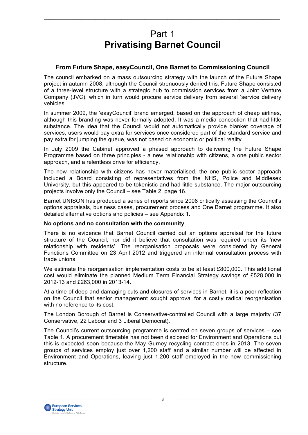# Part 1 **Privatising Barnet Council**

 $\_$  , and the state of the state of the state of the state of the state of the state of the state of the state of the state of the state of the state of the state of the state of the state of the state of the state of the

### **From Future Shape, easyCouncil, One Barnet to Commissioning Council**

The council embarked on a mass outsourcing strategy with the launch of the Future Shape project in autumn 2008, although the Council strenuously denied this. Future Shape consisted of a three-level structure with a strategic hub to commission services from a Joint Venture Company (JVC), which in turn would procure service delivery from several 'service delivery vehicles'.

In summer 2009, the 'easyCouncil' brand emerged, based on the approach of cheap airlines, although this branding was never formally adopted. It was a media concoction that had little substance. The idea that the Council would not automatically provide blanket coverage of services, users would pay extra for services once considered part of the standard service and pay extra for jumping the queue, was not based on economic or political reality.

In July 2009 the Cabinet approved a phased approach to delivering the Future Shape Programme based on three principles - a new relationship with citizens, a one public sector approach, and a relentless drive for efficiency.

The new relationship with citizens has never materialised, the one public sector approach included a Board consisting of representatives from the NHS, Police and Middlesex University, but this appeared to be tokenistic and had little substance. The major outsourcing projects involve only the Council – see Table 2, page 16.

Barnet UNISON has produced a series of reports since 2008 critically assessing the Council's options appraisals, business cases, procurement process and One Barnet programme. It also detailed alternative options and policies – see Appendix 1.

#### **No options and no consultation with the community**

There is no evidence that Barnet Council carried out an options appraisal for the future structure of the Council, nor did it believe that consultation was required under its 'new relationship with residents'. The reorganisation proposals were considered by General Functions Committee on 23 April 2012 and triggered an informal consultation process with trade unions.

We estimate the reorganisation implementation costs to be at least £800,000. This additional cost would eliminate the planned Medium Term Financial Strategy savings of £528,000 in 2012-13 and £263,000 in 2013-14.

At a time of deep and damaging cuts and closures of services in Barnet, it is a poor reflection on the Council that senior management sought approval for a costly radical reorganisation with no reference to its cost.

The London Borough of Barnet is Conservative-controlled Council with a large majority (37 Conservative, 22 Labour and 3 Liberal Democrat).

The Council's current outsourcing programme is centred on seven groups of services – see Table 1. A procurement timetable has not been disclosed for Environment and Operations but this is expected soon because the May Gurney recycling contract ends in 2013. The seven groups of services employ just over 1,200 staff and a similar number will be affected in Environment and Operations, leaving just 1,200 staff employed in the new commissioning structure.

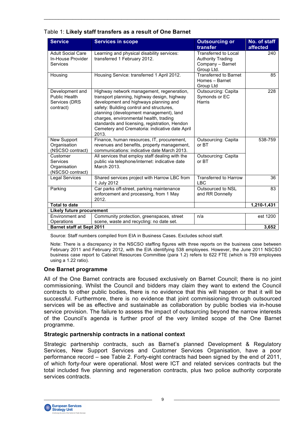| Table 1: Likely staff transfers as a result of One Barnet |
|-----------------------------------------------------------|
|-----------------------------------------------------------|

| <b>Service</b>                                                        | <b>Services in scope</b>                                                                                                                                                                                                                                                                                                                                                       | <b>Outsourcing or</b><br>transfer                                                         | No. of staff<br>affected |
|-----------------------------------------------------------------------|--------------------------------------------------------------------------------------------------------------------------------------------------------------------------------------------------------------------------------------------------------------------------------------------------------------------------------------------------------------------------------|-------------------------------------------------------------------------------------------|--------------------------|
| <b>Adult Social Care</b><br>In-House Provider<br><b>Services</b>      | Learning and physical disability services:<br>transferred 1 February 2012.                                                                                                                                                                                                                                                                                                     | <b>Transferred to Local</b><br><b>Authority Trading</b><br>Company - Barnet<br>Group Ltd. | 240                      |
| Housing                                                               | Housing Service: transferred 1 April 2012.                                                                                                                                                                                                                                                                                                                                     | Transferred to Barnet<br>Homes - Barnet<br>Group Ltd                                      | 85                       |
| Development and<br><b>Public Health</b><br>Services (DRS<br>contract) | Highway network management, regeneration,<br>transport planning, highway design, highway<br>development and highways planning and<br>safety: Building control and structures,<br>planning (development management), land<br>charges, environmental health, trading<br>standards and licensing, registration, Hendon<br>Cemetery and Crematoria: indicative date April<br>2013. | <b>Outsourcing: Capita</b><br>Symonds or EC<br>Harris                                     | 228                      |
| New Support<br>Organisation<br>(NSCSO contract)                       | Finance, human resources, IT, procurement,<br>revenues and benefits, property management,<br>communications: indicative date March 2013.                                                                                                                                                                                                                                       | <b>Outsourcing: Capita</b><br>or BT                                                       | 538-759                  |
| Customer<br><b>Services</b><br>Organisation<br>(NSCSO contract)       | All services that employ staff dealing with the<br>public via telephone/internet: indicative date<br>March 2013.                                                                                                                                                                                                                                                               | Outsourcing: Capita<br>or B <sub>T</sub>                                                  |                          |
| <b>Legal Services</b>                                                 | Shared services project with Harrow LBC from<br>1 July 2012                                                                                                                                                                                                                                                                                                                    | <b>Transferred to Harrow</b><br>LBC                                                       | 36                       |
| Parking                                                               | Car parks off-street, parking maintenance<br>enforcement and processing, from 1 May<br>2012.                                                                                                                                                                                                                                                                                   | Outsourced to NSL<br>and RR Donnelly                                                      | 83                       |
| <b>Total to date</b>                                                  |                                                                                                                                                                                                                                                                                                                                                                                |                                                                                           | 1,210-1,431              |
| <b>Likely future procurement</b>                                      |                                                                                                                                                                                                                                                                                                                                                                                |                                                                                           |                          |
| <b>Environment and</b><br>Operations                                  | Community protection, greenspaces, street<br>scene, waste and recycling: no date set.                                                                                                                                                                                                                                                                                          | n/a                                                                                       | est 1200                 |
| <b>Barnet staff at Sept 2011</b>                                      |                                                                                                                                                                                                                                                                                                                                                                                |                                                                                           | 3,652                    |

Source: Staff numbers compiled from EIA in Business Cases. Excludes school staff.

 Note: There is a discrepancy in the NSCSO staffing figures with three reports on the business case between February 2011 and February 2012, with the EIA identifying 538 employees. However, the June 2011 NSCSO business case report to Cabinet Resources Committee (para 1.2) refers to 622 FTE (which is 759 employees using a 1.22 ratio).

### **One Barnet programme**

All of the One Barnet contracts are focused exclusively on Barnet Council; there is no joint commissioning. Whilst the Council and bidders may claim they want to extend the Council contracts to other public bodies, there is no evidence that this will happen or that it will be successful. Furthermore, there is no evidence that joint commissioning through outsourced services will be as effective and sustainable as collaboration by public bodies via in-house service provision. The failure to assess the impact of outsourcing beyond the narrow interests of the Council's agenda is further proof of the very limited scope of the One Barnet programme.

#### **Strategic partnership contracts in a national context**

Strategic partnership contracts, such as Barnet's planned Development & Regulatory Services, New Support Services and Customer Services Organisation, have a poor performance record – see Table 2. Forty-eight contracts had been signed by the end of 2011, of which forty-four were operational. Most were ICT and related services contracts but the total included five planning and regeneration contracts, plus two police authority corporate services contracts.

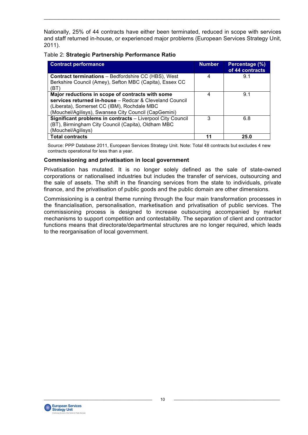Nationally, 25% of 44 contracts have either been terminated, reduced in scope with services and staff returned in-house, or experienced major problems (European Services Strategy Unit, 2011).

 $\_$  , and the state of the state of the state of the state of the state of the state of the state of the state of the state of the state of the state of the state of the state of the state of the state of the state of the

| Table 2: Strategic Partnership Performance Ratio |
|--------------------------------------------------|
|--------------------------------------------------|

| <b>Contract performance</b>                                                                                                                                                                                        | <b>Number</b> | Percentage (%)<br>of 44 contracts |
|--------------------------------------------------------------------------------------------------------------------------------------------------------------------------------------------------------------------|---------------|-----------------------------------|
| <b>Contract terminations - Bedfordshire CC (HBS), West</b><br>Berkshire Council (Amey), Sefton MBC (Capita), Essex CC<br>(BT)                                                                                      | 4             | 9.1                               |
| Major reductions in scope of contracts with some<br>services returned in-house - Redcar & Cleveland Council<br>(Liberata), Somerset CC (IBM), Rochdale MBC<br>(Mouchel/Agilisys), Swansea City Council (CapGemini) | 4             | 9.1                               |
| Significant problems in contracts - Liverpool City Council<br>(BT), Birmingham City Council (Capita), Oldham MBC<br>(Mouchel/Agilisys)                                                                             | 3             | 6.8                               |
| <b>Total contracts</b>                                                                                                                                                                                             | 11            | 25.0                              |

 Source: PPP Database 2011, European Services Strategy Unit. Note: Total 48 contracts but excludes 4 new contracts operational for less than a year.

#### **Commissioning and privatisation in local government**

Privatisation has mutated. It is no longer solely defined as the sale of state-owned corporations or nationalised industries but includes the transfer of services, outsourcing and the sale of assets. The shift in the financing services from the state to individuals, private finance, and the privatisation of public goods and the public domain are other dimensions.

Commissioning is a central theme running through the four main transformation processes in the financialisation, personalisation, marketisation and privatisation of public services. The commissioning process is designed to increase outsourcing accompanied by market mechanisms to support competition and contestability. The separation of client and contractor functions means that directorate/departmental structures are no longer required, which leads to the reorganisation of local government.

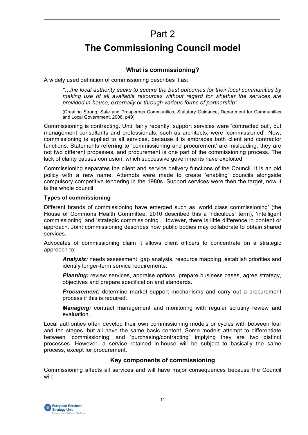# Part 2

 $\_$  , and the state of the state of the state of the state of the state of the state of the state of the state of the state of the state of the state of the state of the state of the state of the state of the state of the

# **The Commissioning Council model**

### **What is commissioning?**

A widely used definition of commissioning describes it as:

*"…the local authority seeks to secure the best outcomes for their local communities by making use of all available resources without regard for whether the services are provided in-house, externally or through various forms of partnership"*

(Creating Strong, Safe and Prosperous Communities, Statutory Guidance, Department for Communities and Local Government, 2008, p49)

Commissioning is contracting. Until fairly recently, support services were 'contracted out', but management consultants and professionals, such as architects, were 'commissioned'. Now, commissioning is applied to all services, because it is embraces both client and contractor functions. Statements referring to 'commissioning and procurement' are misleading, they are not two different processes, and procurement is one part of the commissioning process. The lack of clarity causes confusion, which successive governments have exploited.

Commissioning separates the client and service delivery functions of the Council. It is an old policy with a new name. Attempts were made to create 'enabling' councils alongside compulsory competitive tendering in the 1980s. Support services were then the target, now it is the whole council.

#### **Types of commissioning**

Different brands of commissioning have emerged such as 'world class commissioning' (the House of Commons Health Committee, 2010 described this a 'ridiculous' term), 'intelligent commissioning' and 'strategic commissioning'. However, there is little difference in content or approach. Joint commissioning describes how public bodies may collaborate to obtain shared services.

Advocates of commissioning claim it allows client officers to concentrate on a strategic approach to:

*Analysis:* needs assessment, gap analysis, resource mapping, establish priorities and identify longer-term service requirements.

*Planning:* review services, appraise options, prepare business cases, agree strategy, objectives and prepare specification and standards.

**Procurement:** determine market support mechanisms and carry out a procurement process if this is required.

*Managing:* contract management and monitoring with regular scrutiny review and evaluation.

Local authorities often develop their own commissioning models or cycles with between four and ten stages, but all have the same basic content. Some models attempt to differentiate between 'commissioning' and 'purchasing/contracting' implying they are two distinct processes. However, a service retained in-house will be subject to basically the same process, except for procurement.

#### **Key components of commissioning**

Commissioning affects all services and will have major consequences because the Council will:

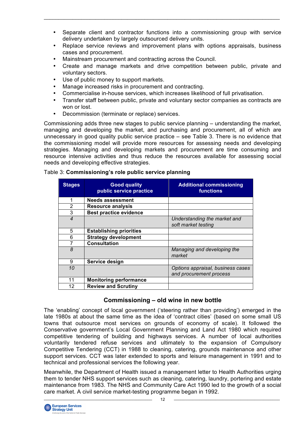• Separate client and contractor functions into a commissioning group with service delivery undertaken by largely outsourced delivery units.

 $\_$  , and the state of the state of the state of the state of the state of the state of the state of the state of the state of the state of the state of the state of the state of the state of the state of the state of the

- Replace service reviews and improvement plans with options appraisals, business cases and procurement.
- Mainstream procurement and contracting across the Council.
- Create and manage markets and drive competition between public, private and voluntary sectors.
- Use of public money to support markets.
- Manage increased risks in procurement and contracting.
- Commercialise in-house services, which increases likelihood of full privatisation.
- Transfer staff between public, private and voluntary sector companies as contracts are won or lost.
- Decommission (terminate or replace) services.

Commissioning adds three new stages to public service planning – understanding the market, managing and developing the market, and purchasing and procurement, all of which are unnecessary in good quality public service practice – see Table 3. There is no evidence that the commissioning model will provide more resources for assessing needs and developing strategies. Managing and developing markets and procurement are time consuming and resource intensive activities and thus reduce the resources available for assessing social needs and developing effective strategies.

| <b>Stages</b>  | <b>Good quality</b><br>public service practice | <b>Additional commissioning</b><br>functions                 |
|----------------|------------------------------------------------|--------------------------------------------------------------|
| 1              | <b>Needs assessment</b>                        |                                                              |
| $\overline{2}$ | <b>Resource analysis</b>                       |                                                              |
| 3              | <b>Best practice evidence</b>                  |                                                              |
| $\overline{4}$ |                                                | Understanding the market and<br>soft market testing          |
| 5              | <b>Establishing priorities</b>                 |                                                              |
| 6              | <b>Strategy development</b>                    |                                                              |
|                | <b>Consultation</b>                            |                                                              |
| 8              |                                                | Managing and developing the<br>market                        |
| 9              | Service design                                 |                                                              |
| 10             |                                                | Options appraisal, business cases<br>and procurement process |
| 11             | <b>Monitoring performance</b>                  |                                                              |
| 12             | <b>Review and Scrutiny</b>                     |                                                              |

#### Table 3: **Commissioning's role public service planning**

### **Commissioning – old wine in new bottle**

The 'enabling' concept of local government ('steering rather than providing') emerged in the late 1980s at about the same time as the idea of 'contract cities' (based on some small US towns that outsource most services on grounds of economy of scale). It followed the Conservative government's Local Government Planning and Land Act 1980 which required competitive tendering of building and highways services. A number of local authorities voluntarily tendered refuse services and ultimately to the expansion of Compulsory Competitive Tendering (CCT) in 1988 to cleaning, catering, grounds maintenance and other support services. CCT was later extended to sports and leisure management in 1991 and to technical and professional services the following year.

Meanwhile, the Department of Health issued a management letter to Health Authorities urging them to tender NHS support services such as cleaning, catering, laundry, portering and estate maintenance from 1983. The NHS and Community Care Act 1990 led to the growth of a social care market. A civil service market-testing programme began in 1992.

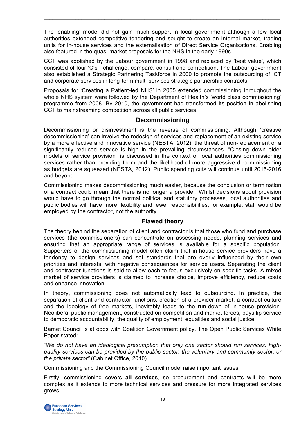The 'enabling' model did not gain much support in local government although a few local authorities extended competitive tendering and sought to create an internal market, trading units for in-house services and the externalisation of Direct Service Organisations. Enabling also featured in the quasi-market proposals for the NHS in the early 1990s.

 $\_$  , and the state of the state of the state of the state of the state of the state of the state of the state of the state of the state of the state of the state of the state of the state of the state of the state of the

CCT was abolished by the Labour government in 1998 and replaced by 'best value', which consisted of four 'C's - challenge, compare, consult and competition. The Labour government also established a Strategic Partnering Taskforce in 2000 to promote the outsourcing of ICT and corporate services in long-term multi-services strategic partnership contracts.

Proposals for 'Creating a Patient-led NHS' in 2005 extended commissioning throughout the whole NHS system were followed by the Department of Health's 'world class commissioning' programme from 2008. By 2010, the government had transformed its position in abolishing CCT to mainstreaming competition across all public services.

### **Decommissioning**

Decommissioning or disinvestment is the reverse of commissioning. Although 'creative decommissioning' can involve the redesign of services and replacement of an existing service by a more effective and innovative service (NESTA, 2012), the threat of non-replacement or a significantly reduced service is high in the prevailing circumstances. "Closing down older models of service provision" is discussed in the context of local authorities commissioning services rather than providing them and the likelihood of more aggressive decommissioning as budgets are squeezed (NESTA, 2012). Public spending cuts will continue until 2015-2016 and beyond.

Commissioning makes decommissioning much easier, because the conclusion or termination of a contract could mean that there is no longer a provider. Whilst decisions about provision would have to go through the normal political and statutory processes, local authorities and public bodies will have more flexibility and fewer responsibilities, for example, staff would be employed by the contractor, not the authority.

# **Flawed theory**

The theory behind the separation of client and contractor is that those who fund and purchase services (the commissioners) can concentrate on assessing needs, planning services and ensuring that an appropriate range of services is available for a specific population. Supporters of the commissioning model often claim that in-house service providers have a tendency to design services and set standards that are overly influenced by their own priorities and interests, with negative consequences for service users. Separating the client and contractor functions is said to allow each to focus exclusively on specific tasks. A mixed market of service providers is claimed to increase choice, improve efficiency, reduce costs and enhance innovation.

In theory, commissioning does not automatically lead to outsourcing. In practice, the separation of client and contractor functions, creation of a provider market, a contract culture and the ideology of free markets, inevitably leads to the run-down of in-house provision. Neoliberal public management, constructed on competition and market forces, pays lip service to democratic accountability, the quality of employment, equalities and social justice.

Barnet Council is at odds with Coalition Government policy. The Open Public Services White Paper stated:

*"We do not have an ideological presumption that only one sector should run services: highquality services can be provided by the public sector, the voluntary and community sector, or the private sector"* (Cabinet Office, 2010).

Commissioning and the Commissioning Council model raise important issues.

Firstly, commissioning covers **all services**, so procurement and contracts will be more complex as it extends to more technical services and pressure for more integrated services grows.

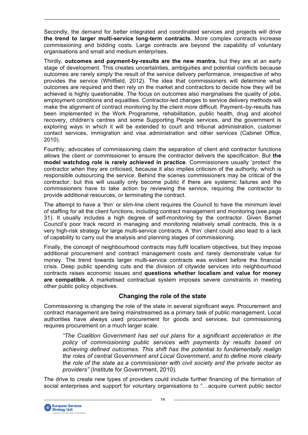Secondly, the demand for better integrated and coordinated services and projects will drive **the trend to larger multi-service long-term contracts**. More complex contracts increase commissioning and bidding costs. Large contracts are beyond the capability of voluntary organisations and small and medium enterprises.

 $\_$  , and the state of the state of the state of the state of the state of the state of the state of the state of the state of the state of the state of the state of the state of the state of the state of the state of the

Thirdly, **outcomes and payment-by-results are the new mantra**, but they are at an early stage of development. This creates uncertainties, ambiguities and potential conflicts because outcomes are rarely simply the result of the service delivery performance, irrespective of who provides the service (Whitfield, 2012). The idea that commissioners will determine what outcomes are required and then rely on the market and contractors to decide how they will be achieved is highly questionable. The focus on outcomes also marginalises the quality of jobs, employment conditions and equalities. Contractor-led changes to service delivery methods will make the alignment of contract monitoring by the client more difficult. Payment–by-results has been implemented in the Work Programme, rehabilitation, public health, drug and alcohol recovery, children's centres and some Supporting People services, and the government is exploring ways in which it will be extended to court and tribunal administration, customer contact services, immigration and visa administration and other services (Cabinet Office, 2010).

Fourthly, advocates of commissioning claim the separation of client and contractor functions allows the client or commissioner to ensure the contractor delivers the specification. But **the model watchdog role is rarely achieved in practice**. Commissioners usually 'protect' the contractor when they are criticised, because it also implies criticism of the authority, which is responsible outsourcing the service. Behind the scenes commissioners may be critical of the contractor, but this will usually only become public if there are systemic failures and the commissioners have to take action by reviewing the service, requiring the contractor to provide additional resources, or terminating the contract.

The attempt to have a 'thin' or slim-line client requires the Council to have the minimum level of staffing for all the client functions, including contract management and monitoring (see page 31). It usually includes a high degree of self-monitoring by the contractor. Given Barnet Council's poor track record in managing and monitoring relatively small contracts, this is a very high-risk strategy for large multi-service contracts. A 'thin' client could also lead to a lack of capability to carry out the analysis and planning stages of commissioning.

Finally, the concept of neighbourhood contracts may fulfil localism objectives, but they impose additional procurement and contract management costs and rarely demonstrate value for money. The trend towards larger multi-service contracts was evident before the financial crisis. Deep public spending cuts and the division of citywide services into neighbourhood contracts raises economic issues and **questions whether localism and value for money are compatible.** A marketised contractual system imposes severe constraints in meeting other public policy objectives.

# **Changing the role of the state**

Commissioning is changing the role of the state in several significant ways. Procurement and contract management are being mainstreamed as a primary task of public management. Local authorities have always used procurement for goods and services, but commissioning requires procurement on a much larger scale.

*"The Coalition Government has set out plans for a significant acceleration in the policy of commissioning public services with payments by results based on achieving defined outcomes. This shift has the potential to fundamentally realign the roles of central Government and Local Government, and to define more clearly the role of the state as a commissioner with civil society and the private sector as providers"* (Institute for Government, 2010)*.*

The drive to create new types of providers could include further financing of the formation of social enterprises and support for voluntary organisations to "…acquire current public sector

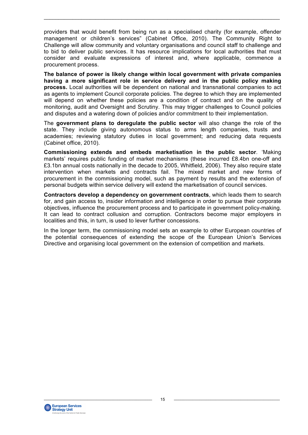providers that would benefit from being run as a specialised charity (for example, offender management or children's services" (Cabinet Office, 2010). The Community Right to Challenge will allow community and voluntary organisations and council staff to challenge and to bid to deliver public services. It has resource implications for local authorities that must consider and evaluate expressions of interest and, where applicable, commence a procurement process.

 $\_$  , and the state of the state of the state of the state of the state of the state of the state of the state of the state of the state of the state of the state of the state of the state of the state of the state of the

**The balance of power is likely change within local government with private companies having a more significant role in service delivery and in the public policy making process.** Local authorities will be dependent on national and transnational companies to act as agents to implement Council corporate policies. The degree to which they are implemented will depend on whether these policies are a condition of contract and on the quality of monitoring, audit and Oversight and Scrutiny. This may trigger challenges to Council policies and disputes and a watering down of policies and/or commitment to their implementation.

The **government plans to deregulate the public sector** will also change the role of the state. They include giving autonomous status to arms length companies, trusts and academies; reviewing statutory duties in local government; and reducing data requests (Cabinet office, 2010).

**Commissioning extends and embeds marketisation in the public sector**. 'Making markets' requires public funding of market mechanisms (these incurred £8.4bn one-off and £3.1bn annual costs nationally in the decade to 2005, Whitfield, 2006). They also require state intervention when markets and contracts fail. The mixed market and new forms of procurement in the commissioning model, such as payment by results and the extension of personal budgets within service delivery will extend the marketisation of council services.

**Contractors develop a dependency on government contracts**, which leads them to search for, and gain access to, insider information and intelligence in order to pursue their corporate objectives, influence the procurement process and to participate in government policy-making. It can lead to contract collusion and corruption. Contractors become major employers in localities and this, in turn, is used to lever further concessions.

In the longer term, the commissioning model sets an example to other European countries of the potential consequences of extending the scope of the European Union's Services Directive and organising local government on the extension of competition and markets.

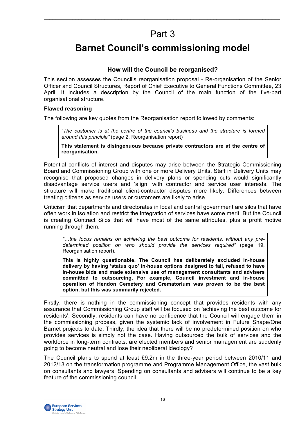# Part 3

 $\_$  , and the state of the state of the state of the state of the state of the state of the state of the state of the state of the state of the state of the state of the state of the state of the state of the state of the

# **Barnet Council's commissioning model**

### **How will the Council be reorganised?**

This section assesses the Council's reorganisation proposal - Re-organisation of the Senior Officer and Council Structures, Report of Chief Executive to General Functions Committee, 23 April. It includes a description by the Council of the main function of the five-part organisational structure.

#### **Flawed reasoning**

The following are key quotes from the Reorganisation report followed by comments:

*"The customer is at the centre of the council's business and the structure is formed around this principle"* (page 2, Reorganisation report)

**This statement is disingenuous because private contractors are at the centre of reorganisation.**

Potential conflicts of interest and disputes may arise between the Strategic Commissioning Board and Commissioning Group with one or more Delivery Units. Staff in Delivery Units may recognise that proposed changes in delivery plans or spending cuts would significantly disadvantage service users and 'align' with contractor and service user interests. The structure will make traditional client-contractor disputes more likely. Differences between treating citizens as service users or customers are likely to arise.

Criticism that departments and directorates in local and central government are silos that have often work in isolation and restrict the integration of services have some merit. But the Council is creating Contract Silos that will have most of the same attributes, plus a profit motive running through them.

*"…the focus remains on achieving the best outcome for residents, without any predetermined position on who should provide the services required"* (page 19, Reorganisation report).

**This is highly questionable. The Council has deliberately excluded in-house delivery by having 'status quo' in-house options designed to fail, refused to have in-house bids and made extensive use of management consultants and advisers committed to outsourcing. For example, Council investment and in-house operation of Hendon Cemetery and Crematorium was proven to be the best option, but this was summarily rejected.**

Firstly, there is nothing in the commissioning concept that provides residents with any assurance that Commissioning Group staff will be focused on 'achieving the best outcome for residents'. Secondly, residents can have no confidence that the Council will engage them in the commissioning process, given the systemic lack of involvement in Future Shape/One Barnet projects to date. Thirdly, the idea that there will be no predetermined position on who provides services is simply not the case. Having outsourced the bulk of services and the workforce in long-term contracts, are elected members and senior management are suddenly going to become neutral and lose their neoliberal ideology?

The Council plans to spend at least £9.2m in the three-year period between 2010/11 and 2012/13 on the transformation programme and Programme Management Office, the vast bulk on consultants and lawyers. Spending on consultants and advisers will continue to be a key feature of the commissioning council.



 $\overline{\phantom{a}}$   $\overline{\phantom{a}}$   $\overline{\phantom{a}}$   $\overline{\phantom{a}}$   $\overline{\phantom{a}}$   $\overline{\phantom{a}}$   $\overline{\phantom{a}}$   $\overline{\phantom{a}}$   $\overline{\phantom{a}}$   $\overline{\phantom{a}}$   $\overline{\phantom{a}}$   $\overline{\phantom{a}}$   $\overline{\phantom{a}}$   $\overline{\phantom{a}}$   $\overline{\phantom{a}}$   $\overline{\phantom{a}}$   $\overline{\phantom{a}}$   $\overline{\phantom{a}}$   $\overline{\$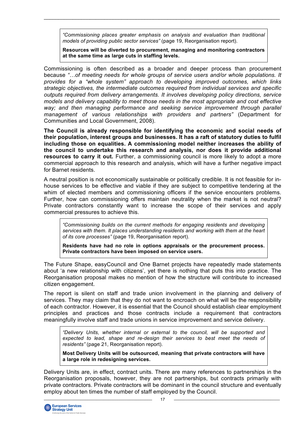*"Commissioning places greater emphasis on analysis and evaluation than traditional models of providing public sector services"* (page 19, Reorganisation report).

 $\_$  , and the state of the state of the state of the state of the state of the state of the state of the state of the state of the state of the state of the state of the state of the state of the state of the state of the

**Resources will be diverted to procurement, managing and monitoring contractors at the same time as large cuts in staffing levels.**

Commissioning is often described as a broader and deeper process than procurement because *"…of meeting needs for whole groups of service users and/or whole populations. It provides for a "whole system" approach to developing improved outcomes, which links strategic objectives, the intermediate outcomes required from individual services and specific outputs required from delivery arrangements. It involves developing policy directions, service models and delivery capability to meet those needs in the most appropriate and cost effective way; and then managing performance and seeking service improvement through parallel management of various relationships with providers and partners"* (Department for Communities and Local Government, 2008).

**The Council is already responsible for identifying the economic and social needs of their population, interest groups and businesses. It has a raft of statutory duties to fulfil including those on equalities. A commissioning model neither increases the ability of the council to undertake this research and analysis, nor does it provide additional resources to carry it out.** Further, a commissioning council is more likely to adopt a more commercial approach to this research and analysis, which will have a further negative impact for Barnet residents.

A neutral position is not economically sustainable or politically credible. It is not feasible for inhouse services to be effective and viable if they are subject to competitive tendering at the whim of elected members and commissioning officers if the service encounters problems. Further, how can commissioning offers maintain neutrality when the market is not neutral? Private contractors constantly want to increase the scope of their services and apply commercial pressures to achieve this.

*"Commissioning builds on the current methods for engaging residents and developing services with them. It places understanding residents and working with them at the heart of its core processes"* (page 19, Reorganisation report).

**Residents have had no role in options appraisals or the procurement process. Private contractors have been imposed on service users.**

The Future Shape, easyCouncil and One Barnet projects have repeatedly made statements about 'a new relationship with citizens', yet there is nothing that puts this into practice. The Reorganisation proposal makes no mention of how the structure will contribute to increased citizen engagement.

The report is silent on staff and trade union involvement in the planning and delivery of services. They may claim that they do not want to encroach on what will be the responsibility of each contractor. However, it is essential that the Council should establish clear employment principles and practices and those contracts include a requirement that contractors meaningfully involve staff and trade unions in service improvement and service delivery.

*"Delivery Units, whether internal or external to the council, will be supported and expected to lead, shape and re-design their services to best meet the needs of residents"* (page 21, Reorganisation report).

**Most Delivery Units will be outsourced, meaning that private contractors will have a large role in redesigning services.**

Delivery Units are, in effect, contract units. There are many references to partnerships in the Reorganisation proposals, however, they are not partnerships, but contracts primarily with private contractors. Private contractors will be dominant in the council structure and eventually employ about ten times the number of staff employed by the Council.

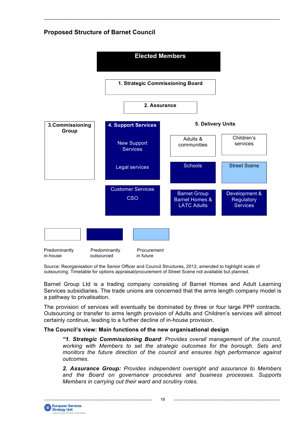# **Proposed Structure of Barnet Council**



 $\_$  , and the state of the state of the state of the state of the state of the state of the state of the state of the state of the state of the state of the state of the state of the state of the state of the state of the

Source: Reorganisation of the Senior Officer and Council Structures, 2012, amended to highlight scale of outsourcing. Timetable for options appraisal/procurement of Street Scene not available but planned.

Barnet Group Ltd is a trading company consisting of Barnet Homes and Adult Learning Services subsidiaries. The trade unions are concerned that the arms length company model is a pathway to privatisation.

The provision of services will eventually be dominated by three or four large PPP contracts. Outsourcing or transfer to arms length provision of Adults and Children's services will almost certainly continue, leading to a further decline of in-house provision.

#### **The Council's view: Main functions of the new organisational design**

*"1. Strategic Commissioning Board: Provides overall management of the council, working with Members to set the strategic outcomes for the borough. Sets and monitors the future direction of the council and ensures high performance against outcomes.*

*2. Assurance Group: Provides independent oversight and assurance to Members and the Board on governance procedures and business processes. Supports Members in carrying out their ward and scrutiny roles.*

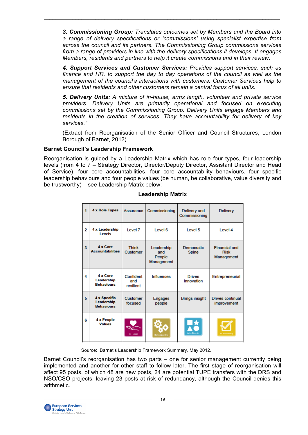*3. Commissioning Group: Translates outcomes set by Members and the Board into a range of delivery specifications or 'commissions' using specialist expertise from across the council and its partners. The Commissioning Group commissions services from a range of providers in line with the delivery specifications it develops. It engages Members, residents and partners to help it create commissions and in their review.*

 $\_$  , and the state of the state of the state of the state of the state of the state of the state of the state of the state of the state of the state of the state of the state of the state of the state of the state of the

*4. Support Services and Customer Services: Provides support services, such as finance and HR, to support the day to day operations of the council as well as the management of the council's interactions with customers. Customer Services help to ensure that residents and other customers remain a central focus of all units.*

*5. Delivery Units: A mixture of in-house, arms length, volunteer and private service providers. Delivery Units are primarily operational and focused on executing commissions set by the Commissioning Group. Delivery Units engage Members and residents in the creation of services. They have accountability for delivery of key services."*

(Extract from Reorganisation of the Senior Officer and Council Structures, London Borough of Barnet, 2012)

### **Barnet Council's Leadership Framework**

Reorganisation is guided by a Leadership Matrix which has role four types, four leadership levels (from 4 to 7 – Strategy Director, Director/Deputy Director, Assistant Director and Head of Service), four core accountabilities, four core accountability behaviours, four specific leadership behaviours and four people values (be human, be collaborative, value diversity and be trustworthy) – see Leadership Matrix below:

| 1                       | <b>4 x Role Types</b>                                  | Assurance                     | Commissioning                             | Delivery and<br>Commissioning | <b>Delivery</b>                                   |
|-------------------------|--------------------------------------------------------|-------------------------------|-------------------------------------------|-------------------------------|---------------------------------------------------|
| $\overline{\mathbf{c}}$ | 4 x Leadership<br>Levels                               | Level 7                       | Level 6                                   | Level 5                       | Level 4                                           |
| 3                       | 4 x Core<br><b>Accountabilities</b>                    | <b>Think</b><br>Customer      | Leadership<br>and<br>People<br>Management | Democratic<br>Spine           | <b>Financial and</b><br><b>Risk</b><br>Management |
| 4                       | 4 x Core<br>Leadership<br><b>Behaviours</b>            | Confident<br>and<br>resilient | <b>Influences</b>                         | <b>Drives</b><br>Innovation   | Entrepreneurial                                   |
| 5                       | <b>4 x Specific</b><br>Leadership<br><b>Behaviours</b> | Customer<br>focused           | <b>Engages</b><br>people                  | <b>Brings insight</b>         | <b>Drives continual</b><br>improvement            |
| 6                       | 4 x People<br><b>Values</b>                            | <b>Ba Human</b>               | llo Colisborstiv                          | 黠<br><b>Value Diversity</b>   |                                                   |

#### **Leadership Matrix**

Source: Barnet's Leadership Framework Summary, May 2012.

Barnet Council's reorganisation has two parts – one for senior management currently being implemented and another for other staff to follow later. The first stage of reorganisation will affect 95 posts, of which 48 are new posts, 24 are potential TUPE transfers with the DRS and NSO/CSO projects, leaving 23 posts at risk of redundancy, although the Council denies this arithmetic.

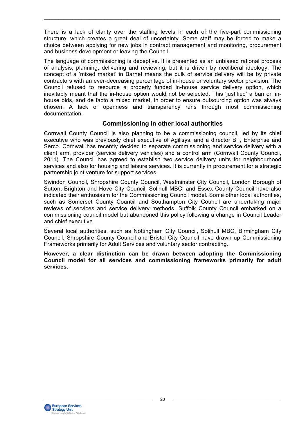There is a lack of clarity over the staffing levels in each of the five-part commissioning structure, which creates a great deal of uncertainty. Some staff may be forced to make a choice between applying for new jobs in contract management and monitoring, procurement and business development or leaving the Council.

 $\_$  , and the state of the state of the state of the state of the state of the state of the state of the state of the state of the state of the state of the state of the state of the state of the state of the state of the

The language of commissioning is deceptive. It is presented as an unbiased rational process of analysis, planning, delivering and reviewing, but it is driven by neoliberal ideology. The concept of a 'mixed market' in Barnet means the bulk of service delivery will be by private contractors with an ever-decreasing percentage of in-house or voluntary sector provision. The Council refused to resource a properly funded in-house service delivery option, which inevitably meant that the in-house option would not be selected. This 'justified' a ban on inhouse bids, and de facto a mixed market, in order to ensure outsourcing option was always chosen. A lack of openness and transparency runs through most commissioning documentation.

### **Commissioning in other local authorities**

Cornwall County Council is also planning to be a commissioning council, led by its chief executive who was previously chief executive of Agilisys, and a director BT, Enterprise and Serco. Cornwall has recently decided to separate commissioning and service delivery with a client arm, provider (service delivery vehicles) and a control arm (Cornwall County Council, 2011). The Council has agreed to establish two service delivery units for neighbourhood services and also for housing and leisure services. It is currently in procurement for a strategic partnership joint venture for support services.

Swindon Council, Shropshire County Council, Westminster City Council, London Borough of Sutton, Brighton and Hove City Council, Solihull MBC, and Essex County Council have also indicated their enthusiasm for the Commissioning Council model. Some other local authorities, such as Somerset County Council and Southampton City Council are undertaking major reviews of services and service delivery methods. Suffolk County Council embarked on a commissioning council model but abandoned this policy following a change in Council Leader and chief executive.

Several local authorities, such as Nottingham City Council, Solihull MBC, Birmingham City Council, Shropshire County Council and Bristol City Council have drawn up Commissioning Frameworks primarily for Adult Services and voluntary sector contracting.

**However, a clear distinction can be drawn between adopting the Commissioning Council model for all services and commissioning frameworks primarily for adult services.**

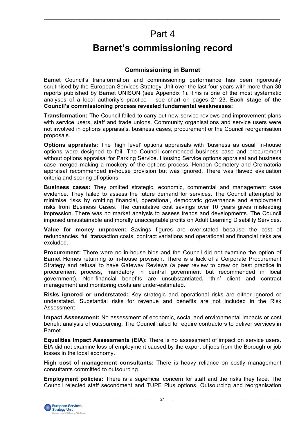# Part 4

 $\_$  , and the state of the state of the state of the state of the state of the state of the state of the state of the state of the state of the state of the state of the state of the state of the state of the state of the

# **Barnet's commissioning record**

### **Commissioning in Barnet**

Barnet Council's transformation and commissioning performance has been rigorously scrutinised by the European Services Strategy Unit over the last four years with more than 30 reports published by Barnet UNISON (see Appendix 1). This is one of the most systematic analyses of a local authority's practice – see chart on pages 21-23. **Each stage of the Council's commissioning process revealed fundamental weaknesses:**

**Transformation:** The Council failed to carry out new service reviews and improvement plans with service users, staff and trade unions. Community organisations and service users were not involved in options appraisals, business cases, procurement or the Council reorganisation proposals.

**Options appraisals:** The 'high level' options appraisals with 'business as usual' in-house options were designed to fail. The Council commenced business case and procurement without options appraisal for Parking Service. Housing Service options appraisal and business case merged making a mockery of the options process. Hendon Cemetery and Crematoria appraisal recommended in-house provision but was ignored. There was flawed evaluation criteria and scoring of options.

**Business cases:** They omitted strategic, economic, commercial and management case evidence. They failed to assess the future demand for services. The Council attempted to minimise risks by omitting financial, operational, democratic governance and employment risks from Business Cases. The cumulative cost savings over 10 years gives misleading impression. There was no market analysis to assess trends and developments. The Council imposed unsustainable and morally unacceptable profits on Adult Learning Disability Services.

**Value for money unproven:** Savings figures are over-stated because the cost of redundancies, full transaction costs, contract variations and operational and financial risks are excluded.

**Procurement:** There were no in-house bids and the Council did not examine the option of Barnet Homes returning to in-house provision**.** There is a lack of a Corporate Procurement Strategy and refusal to have Gateway Reviews (a peer review to draw on best practice in procurement process, mandatory in central government but recommended in local government). Non-financial benefits are unsubstantiated**,** 'thin' client and contract management and monitoring costs are under-estimated.

**Risks ignored or understated:** Key strategic and operational risks are either ignored or understated. Substantial risks for revenue and benefits are not included in the Risk Assessment

**Impact Assessment:** No assessment of economic, social and environmental impacts or cost benefit analysis of outsourcing. The Council failed to require contractors to deliver services in Barnet.

**Equalities Impact Assessments (EIA)**: There is no assessment of impact on service users. EIA did not examine loss of employment caused by the export of jobs from the Borough or job losses in the local economy.

**High cost of management consultants:** There is heavy reliance on costly management consultants committed to outsourcing.

**Employment policies:** There is a superficial concern for staff and the risks they face. The Council rejected staff secondment and TUPE Plus options. Outsourcing and reorganisation

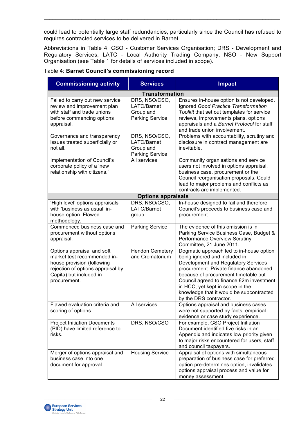could lead to potentially large staff redundancies, particularly since the Council has refused to requires contracted services to be delivered in Barnet.

 $\_$  , and the state of the state of the state of the state of the state of the state of the state of the state of the state of the state of the state of the state of the state of the state of the state of the state of the

Abbreviations in Table 4: CSO - Customer Services Organisation; DRS - Development and Regulatory Services; LATC - Local Authority Trading Company; NSO - New Support Organisation (see Table 1 for details of services included in scope).

| <b>Commissioning activity</b>                                                                                                                                           | <b>Services</b>                                                     | <b>Impact</b>                                                                                                                                                                                                                                                                                                                                            |
|-------------------------------------------------------------------------------------------------------------------------------------------------------------------------|---------------------------------------------------------------------|----------------------------------------------------------------------------------------------------------------------------------------------------------------------------------------------------------------------------------------------------------------------------------------------------------------------------------------------------------|
|                                                                                                                                                                         | <b>Transformation</b>                                               |                                                                                                                                                                                                                                                                                                                                                          |
| Failed to carry out new service<br>review and improvement plan<br>with staff and trade unions<br>before commencing options<br>appraisal.                                | DRS, NSO/CSO,<br>LATC/Barnet<br>Group and<br><b>Parking Service</b> | Ensures in-house option is not developed.<br>Ignored Good Practice Transformation<br>Toolkit that set out templates for service<br>reviews, improvements plans, options<br>appraisals and a Barnet Protocol for staff<br>and trade union involvement.                                                                                                    |
| Governance and transparency<br>issues treated superficially or<br>not all.                                                                                              | DRS, NSO/CSO,<br>LATC/Barnet<br>Group and<br><b>Parking Service</b> | Problems with accountability, scrutiny and<br>disclosure in contract management are<br>inevitable.                                                                                                                                                                                                                                                       |
| <b>Implementation of Council's</b><br>corporate policy of a 'new<br>relationship with citizens.'                                                                        | All services                                                        | Community organisations and service<br>users not involved in options appraisal,<br>business case, procurement or the<br>Council reorganisation proposals. Could<br>lead to major problems and conflicts as<br>contracts are implemented.                                                                                                                 |
|                                                                                                                                                                         | <b>Options appraisals</b>                                           |                                                                                                                                                                                                                                                                                                                                                          |
| 'High level' options appraisals<br>with 'business as usual' in-<br>house option. Flawed<br>methodology.                                                                 | DRS, NSO/CSO,<br>LATC/Barnet<br>group                               | In-house designed to fail and therefore<br>Council's proceeds to business case and<br>procurement.                                                                                                                                                                                                                                                       |
| Commenced business case and<br>procurement without options<br>appraisal.                                                                                                | <b>Parking Service</b>                                              | The evidence of this omission is in<br>Parking Service Business Case, Budget &<br>Performance Overview Scrutiny<br>Committee, 21 June 2011.                                                                                                                                                                                                              |
| Options appraisal and soft<br>market test recommended in-<br>house provision (following<br>rejection of options appraisal by<br>Capita) but included in<br>procurement. | <b>Hendon Cemetery</b><br>and Crematorium                           | Dogmatic approach led to in-house option<br>being ignored and included in<br>Development and Regulatory Services<br>procurement. Private finance abandoned<br>because of procurement timetable but<br>Council agreed to finance £2m investment<br>in HCC, yet kept in scope in the<br>knowledge that it would be subcontracted<br>by the DRS contractor. |
| Flawed evaluation criteria and<br>scoring of options.                                                                                                                   | All services                                                        | Options appraisal and business cases<br>were not supported by facts, empirical<br>evidence or case study experience.                                                                                                                                                                                                                                     |
| <b>Project Initiation Documents</b><br>(PID) have limited reference to<br>risks.                                                                                        | DRS, NSO/CSO                                                        | For example, CSO Project Initiation<br>Document identified five risks in an<br>Appendix and indicates low priority given<br>to major risks encountered for users, staff<br>and council taxpayers.                                                                                                                                                        |
| Merger of options appraisal and<br>business case into one<br>document for approval.                                                                                     | <b>Housing Service</b>                                              | Appraisal of options with simultaneous<br>preparation of business case for preferred<br>option pre-determines option, invalidates<br>options appraisal process and value for<br>money assessment.                                                                                                                                                        |

#### Table 4: **Barnet Council's commissioning record**

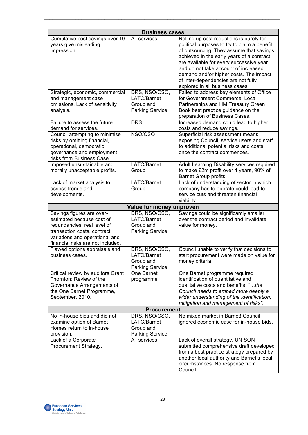| <b>Business cases</b>                                                                                                                                                                       |                                                                     |                                                                                                                                                                                                                                                                                                                                                                                          |  |
|---------------------------------------------------------------------------------------------------------------------------------------------------------------------------------------------|---------------------------------------------------------------------|------------------------------------------------------------------------------------------------------------------------------------------------------------------------------------------------------------------------------------------------------------------------------------------------------------------------------------------------------------------------------------------|--|
| Cumulative cost savings over 10<br>years give misleading<br>impression.                                                                                                                     | All services                                                        | Rolling up cost reductions is purely for<br>political purposes to try to claim a benefit<br>of outsourcing. They assume that savings<br>achieved in the early years of a contract<br>are available for every successive year<br>and do not take account of increased<br>demand and/or higher costs. The impact<br>of inter-dependencies are not fully<br>explored in all business cases. |  |
| Strategic, economic, commercial<br>and management case<br>omissions. Lack of sensitivity<br>analysis.                                                                                       | DRS, NSO/CSO,<br>LATC/Barnet<br>Group and<br><b>Parking Service</b> | Failed to address key elements of Office<br>for Government Commerce, Local<br>Partnerships and HM Treasury Green<br>Book best practice guidance on the<br>preparation of Business Cases.                                                                                                                                                                                                 |  |
| Failure to assess the future<br>demand for services.                                                                                                                                        | <b>DRS</b>                                                          | Increased demand could lead to higher<br>costs and reduce savings.                                                                                                                                                                                                                                                                                                                       |  |
| Council attempting to minimise<br>risks by omitting financial,<br>operational, democratic<br>governance and employment<br>risks from Business Case.                                         | NSO/CSO                                                             | Superficial risk assessment means<br>exposing Council, service users and staff<br>to additional potential risks and costs<br>once the contract commences.                                                                                                                                                                                                                                |  |
| Imposed unsustainable and<br>morally unacceptable profits.                                                                                                                                  | LATC/Barnet<br>Group                                                | Adult Learning Disability services required<br>to make £2m profit over 4 years, 90% of<br>Barnet Group profits.                                                                                                                                                                                                                                                                          |  |
| Lack of market analysis to<br>assess trends and<br>developments.                                                                                                                            | LATC/Barnet<br>Group                                                | Lack of understanding of sector in which<br>company has to operate could lead to<br>service cuts and threaten financial<br>viability.                                                                                                                                                                                                                                                    |  |
|                                                                                                                                                                                             | Value for money unproven                                            |                                                                                                                                                                                                                                                                                                                                                                                          |  |
| Savings figures are over-<br>estimated because cost of<br>redundancies, real level of<br>transaction costs, contract<br>variations and operational and<br>financial risks are not included. | DRS, NSO/CSO,<br>LATC/Barnet<br>Group and<br><b>Parking Service</b> | Savings could be significantly smaller<br>over the contract period and invalidate<br>value for money.                                                                                                                                                                                                                                                                                    |  |
| Flawed options appraisals and<br>business cases.                                                                                                                                            | DRS, NSO/CSO,<br>LATC/Barnet<br>Group and<br><b>Parking Service</b> | Council unable to verify that decisions to<br>start procurement were made on value for<br>money criteria.                                                                                                                                                                                                                                                                                |  |
| Critical review by auditors Grant<br>Thornton: Review of the<br>Governance Arrangements of<br>the One Barnet Programme,<br>September, 2010.                                                 | One Barnet<br>programme                                             | One Barnet programme required<br>identification of quantitative and<br>qualitative costs and benefits, "the<br>Council needs to embed more deeply a<br>wider understanding of the identification,<br>mitigation and management of risks".                                                                                                                                                |  |
| <b>Procurement</b>                                                                                                                                                                          |                                                                     |                                                                                                                                                                                                                                                                                                                                                                                          |  |
| No in-house bids and did not<br>examine option of Barnet<br>Homes return to in-house<br>provision.                                                                                          | DRS, NSO/CSO,<br>LATC/Barnet<br>Group and<br><b>Parking Service</b> | No mixed market in Barnet! Council<br>ignored economic case for in-house bids.                                                                                                                                                                                                                                                                                                           |  |
| Lack of a Corporate<br>Procurement Strategy.                                                                                                                                                | All services                                                        | Lack of overall strategy. UNISON<br>submitted comprehensive draft developed<br>from a best practice strategy prepared by<br>another local authority and Barnet's local<br>circumstances. No response from<br>Council.                                                                                                                                                                    |  |

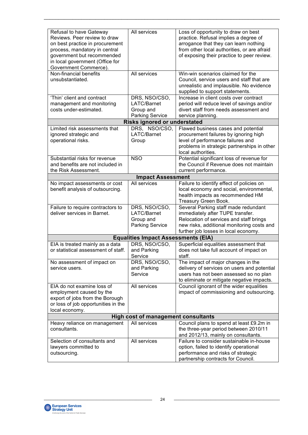| Refusal to have Gateway<br>Reviews. Peer review to draw<br>on best practice in procurement<br>process, mandatory in central<br>government but recommended<br>in local government (Office for<br>Government Commerce). | All services                                                        | Loss of opportunity to draw on best<br>practice. Refusal implies a degree of<br>arrogance that they can learn nothing<br>from other local authorities, or are afraid<br>of exposing their practice to peer review. |  |
|-----------------------------------------------------------------------------------------------------------------------------------------------------------------------------------------------------------------------|---------------------------------------------------------------------|--------------------------------------------------------------------------------------------------------------------------------------------------------------------------------------------------------------------|--|
| Non-financial benefits<br>unsubstantiated.                                                                                                                                                                            | All services                                                        | Win-win scenarios claimed for the<br>Council, service users and staff that are<br>unrealistic and implausible. No evidence<br>supplied to support statements.                                                      |  |
| 'Thin' client and contract<br>management and monitoring<br>costs under-estimated.                                                                                                                                     | DRS, NSO/CSO,<br>LATC/Barnet<br>Group and<br><b>Parking Service</b> | Increase in client costs over contract<br>period will reduce level of savings and/or<br>divert staff from needs assessment and<br>service planning.                                                                |  |
|                                                                                                                                                                                                                       | <b>Risks ignored or understated</b>                                 |                                                                                                                                                                                                                    |  |
| Limited risk assessments that<br>ignored strategic and<br>operational risks.                                                                                                                                          | DRS, NSO/CSO,<br>LATC/Barnet<br>Group                               | Flawed business cases and potential<br>procurement failures by ignoring high<br>level of performance failures and<br>problems in strategic partnerships in other<br>local authorities.                             |  |
| Substantial risks for revenue<br>and benefits are not included in<br>the Risk Assessment.                                                                                                                             | <b>NSO</b>                                                          | Potential significant loss of revenue for<br>the Council if Revenue does not maintain<br>current performance.                                                                                                      |  |
|                                                                                                                                                                                                                       | <b>Impact Assessment</b>                                            |                                                                                                                                                                                                                    |  |
| No impact assessments or cost<br>benefit analysis of outsourcing.                                                                                                                                                     | All services                                                        | Failure to identify effect of policies on<br>local economy and social, environmental,<br>health impacts as recommended HM<br>Treasury Green Book.                                                                  |  |
| Failure to require contractors to<br>deliver services in Barnet.                                                                                                                                                      | DRS, NSO/CSO,<br>LATC/Barnet<br>Group and<br><b>Parking Service</b> | Several Parking staff made redundant<br>immediately after TUPE transfer.<br>Relocation of services and staff brings<br>new risks, additional monitoring costs and<br>further job losses in local economy.          |  |
|                                                                                                                                                                                                                       | <b>Equalities Impact Assessments (EIA)</b>                          |                                                                                                                                                                                                                    |  |
| EIA is treated mainly as a data<br>or statistical assessment of staff.                                                                                                                                                | DRS, NSO/CSO,<br>and Parking<br>Service                             | Superficial equalities assessment that<br>does not take full account of impact on<br>staff.                                                                                                                        |  |
| No assessment of impact on<br>service users.                                                                                                                                                                          | DRS, NSO/CSO,<br>and Parking<br>Service                             | The impact of major changes in the<br>delivery of services on users and potential<br>users has not been assessed so no plan<br>to eliminate or mitigate negative impacts.                                          |  |
| EIA do not examine loss of<br>employment caused by the<br>export of jobs from the Borough<br>or loss of job opportunities in the<br>local economy.                                                                    | All services                                                        | Council ignorant of the wider equalities<br>impact of commissioning and outsourcing.                                                                                                                               |  |
| <b>High cost of management consultants</b>                                                                                                                                                                            |                                                                     |                                                                                                                                                                                                                    |  |
| Heavy reliance on management<br>consultants.                                                                                                                                                                          | All services                                                        | Council plans to spend at least £9.2m in<br>the three-year period between 2010/11<br>and 2012/13, mainly on consultants.                                                                                           |  |
| Selection of consultants and<br>lawyers committed to<br>outsourcing.                                                                                                                                                  | All services                                                        | Failure to consider sustainable in-house<br>option, failed to identify operational<br>performance and risks of strategic<br>partnership contracts for Council.                                                     |  |

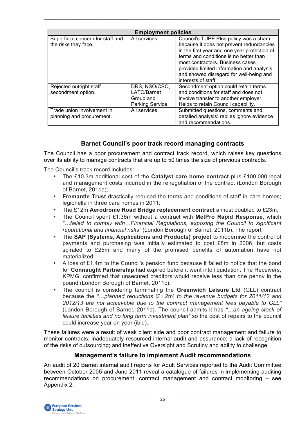| <b>Employment policies</b>                                |                                                                     |                                                                                                                                                                                                                                                                                                                                |  |
|-----------------------------------------------------------|---------------------------------------------------------------------|--------------------------------------------------------------------------------------------------------------------------------------------------------------------------------------------------------------------------------------------------------------------------------------------------------------------------------|--|
| Superficial concern for staff and<br>the risks they face. | All services                                                        | Council's TUPE Plus policy was a sham<br>because it does not prevent redundancies<br>in the first year and one year protection of<br>terms and conditions is no better than<br>most contractors. Business cases<br>provided limited information and analysis<br>and showed disregard for well-being and<br>interests of staff. |  |
| Rejected outright staff<br>secondment option.             | DRS, NSO/CSO,<br>LATC/Barnet<br>Group and<br><b>Parking Service</b> | Secondment option could retain terms<br>and conditions for staff and does not<br>involve transfer to another employer.<br>Helps to retain Council capability.                                                                                                                                                                  |  |
| Trade union involvement in<br>planning and procurement.   | All services                                                        | Submitted questions, comments and<br>detailed analysis: replies ignore evidence<br>and recommendations.                                                                                                                                                                                                                        |  |

# **Barnet Council's poor track record managing contracts**

The Council has a poor procurement and contract track record, which raises key questions over its ability to manage contracts that are up to 50 times the size of previous contracts.

The Council's track record includes:

- The £10.3m additional cost of the **Catalyst care home contract** plus £100,000 legal and management costs incurred in the renegotiation of the contract (London Borough of Barnet, 2011a);
- **Fremantle Trust** drastically reduced the terms and conditions of staff in care homes; legionella in three care homes in 2011;
- The £12m **Aerodrome Road Bridge replacement contract** almost doubled to £23m;
- The Council spent £1.36m without a contract with **MetPro Rapid Response**, which *"…failed to comply with…Financial Regulations, exposing the Council to significant reputational and financial risks"* (London Borough of Barnet, 2011b). The report
- The **SAP (Systems, Applications and Products) project** to modernise the control of payments and purchasing was initially estimated to cost £8m in 2006, but costs spiraled to £25m and many of the promised benefits of automation have not materialized;
- A loss of £1.4m to the Council's pension fund because it failed to notice that the bond for **Connaught Partnership** had expired before it went into liquidation. The Receivers, KPMG, confirmed that unsecured creditors would receive less than one penny in the pound (London Borough of Barnet, 2011c).
- The council is considering terminating the **Greenwich Leisure Ltd** (GLL) contract because the *"…planned reductions* [£1.2m] *to the revenue budgets for 2011/12 and 2012/13 are not achievable due to the contract management fees payable to GLL"*  (London Borough of Barnet, 2011d). The council admits it has *"…an ageing stock of leisure facilities and no long term investment plan"* so the cost of repairs to the council could increase year on year (ibid).

These failures were a result of weak client side and poor contract management and failure to monitor contracts; inadequately resourced internal audit and assurance; a lack of recognition of the risks of outsourcing; and ineffective Oversight and Scrutiny and ability to challenge.

### **Management's failure to implement Audit recommendations**

An audit of 20 Barnet internal audit reports for Adult Services reported to the Audit Committee between October 2005 and June 2011 reveal a catalogue of failures in implementing auditing recommendations on procurement, contract management and contract monitoring – see Appendix 2.

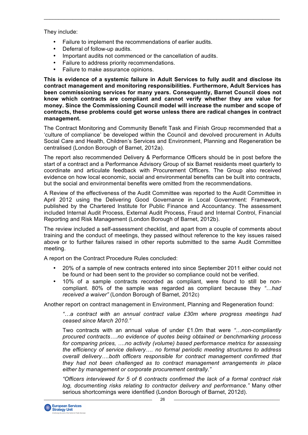They include:

- Failure to implement the recommendations of earlier audits.
- Deferral of follow-up audits.
- Important audits not commenced or the cancellation of audits.
- Failure to address priority recommendations.
- Failure to make assurance opinions.

**This is evidence of a systemic failure in Adult Services to fully audit and disclose its contract management and monitoring responsibilities. Furthermore, Adult Services has been commissioning services for many years. Consequently, Barnet Council does not know which contracts are compliant and cannot verify whether they are value for money. Since the Commissioning Council model will increase the number and scope of contracts, these problems could get worse unless there are radical changes in contract management.**

 $\_$  , and the state of the state of the state of the state of the state of the state of the state of the state of the state of the state of the state of the state of the state of the state of the state of the state of the

The Contract Monitoring and Community Benefit Task and Finish Group recommended that a 'culture of compliance' be developed within the Council and devolved procurement in Adults Social Care and Health, Children's Services and Environment, Planning and Regeneration be centralised (London Borough of Barnet, 2012a).

The report also recommended Delivery & Performance Officers should be in post before the start of a contract and a Performance Advisory Group of six Barnet residents meet quarterly to coordinate and articulate feedback with Procurement Officers. The Group also received evidence on how local economic, social and environmental benefits can be built into contracts, but the social and environmental benefits were omitted from the recommendations.

A Review of the effectiveness of the Audit Committee was reported to the Audit Committee in April 2012 using the Delivering Good Governance in Local Government: Framework, published by the Chartered Institute for Public Finance and Accountancy. The assessment included Internal Audit Process, External Audit Process, Fraud and Internal Control, Financial Reporting and Risk Management (London Borough of Barnet, 2012b).

The review included a self-assessment checklist, and apart from a couple of comments about training and the conduct of meetings, they passed without reference to the key issues raised above or to further failures raised in other reports submitted to the same Audit Committee meeting.

A report on the Contract Procedure Rules concluded:

- 20% of a sample of new contracts entered into since September 2011 either could not be found or had been sent to the provider so compliance could not be verified.
- 10% of a sample contracts recorded as compliant, were found to still be noncompliant. 80% of the sample was regarded as compliant because they *"…had received a waiver"* (London Borough of Barnet, 2012c)

Another report on contract management in Environment, Planning and Regeneration found:

*"…a contract with an annual contract value £30m where progress meetings had ceased since March 2010."*

Two contracts with an annual value of under £1.0m that were *"…non-compliantly procured contracts….no evidence of quotes being obtained or benchmarking process for comparing prices, ….no activity (volume) based performance metrics for assessing the efficiency of service delivery…. no formal periodic meeting structures to address overall delivery….both officers responsible for contract management confirmed that they had not been challenged as to contract management arrangements in place either by management or corporate procurement centrally."*

*"Officers interviewed for 5 of 6 contracts confirmed the lack of a formal contract risk log, documenting risks relating to contractor delivery and performance."* Many other serious shortcomings were identified (London Borough of Barnet, 2012d).

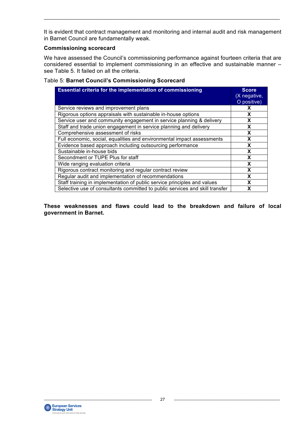It is evident that contract management and monitoring and internal audit and risk management in Barnet Council are fundamentally weak.

 $\_$  , and the state of the state of the state of the state of the state of the state of the state of the state of the state of the state of the state of the state of the state of the state of the state of the state of the

#### **Commissioning scorecard**

We have assessed the Council's commissioning performance against fourteen criteria that are considered essential to implement commissioning in an effective and sustainable manner – see Table 5. It failed on all the criteria.

#### Table 5: **Barnet Council's Commissioning Scorecard**

| <b>Essential criteria for the implementation of commissioning</b>            | <b>Score</b><br>(X negative,<br>O positive) |
|------------------------------------------------------------------------------|---------------------------------------------|
| Service reviews and improvement plans                                        | X                                           |
| Rigorous options appraisals with sustainable in-house options                | X                                           |
| Service user and community engagement in service planning & delivery         | X                                           |
| Staff and trade union engagement in service planning and delivery            | X                                           |
| Comprehensive assessment of risks                                            | X                                           |
| Full economic, social, equalities and environmental impact assessments       | X                                           |
| Evidence based approach including outsourcing performance                    | X                                           |
| Sustainable in-house bids                                                    | X                                           |
| Secondment or TUPE Plus for staff                                            | X                                           |
| Wide ranging evaluation criteria                                             | X                                           |
| Rigorous contract monitoring and regular contract review                     | X                                           |
| Regular audit and implementation of recommendations                          | X                                           |
| Staff training in implementation of public service principles and values     | x                                           |
| Selective use of consultants committed to public services and skill transfer | X                                           |

**These weaknesses and flaws could lead to the breakdown and failure of local government in Barnet.** 

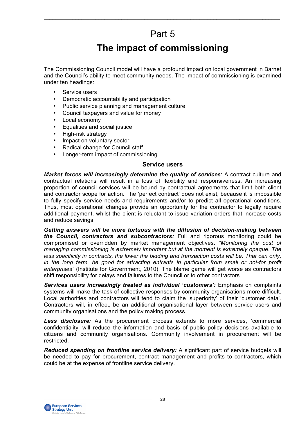# Part 5

 $\_$  , and the state of the state of the state of the state of the state of the state of the state of the state of the state of the state of the state of the state of the state of the state of the state of the state of the

# **The impact of commissioning**

The Commissioning Council model will have a profound impact on local government in Barnet and the Council's ability to meet community needs. The impact of commissioning is examined under ten headings:

- Service users
- Democratic accountability and participation
- Public service planning and management culture
- Council taxpayers and value for money
- Local economy
- Equalities and social justice
- High-risk strategy
- Impact on voluntary sector
- Radical change for Council staff
- Longer-term impact of commissioning

#### **Service users**

*Market forces will increasingly determine the quality of services*: A contract culture and contractual relations will result in a loss of flexibility and responsiveness. An increasing proportion of council services will be bound by contractual agreements that limit both client and contractor scope for action. The 'perfect contract' does not exist, because it is impossible to fully specify service needs and requirements and/or to predict all operational conditions. Thus, most operational changes provide an opportunity for the contractor to legally require additional payment, whilst the client is reluctant to issue variation orders that increase costs and reduce savings.

*Getting answers will be more tortuous with the diffusion of decision-making between the Council, contractors and subcontractors:* Full and rigorous monitoring could be compromised or overridden by market management objectives. *"Monitoring the cost of managing commissioning is extremely important but at the moment is extremely opaque. The less specificity in contracts, the lower the bidding and transaction costs will be. That can only,*  in the long term, be good for attracting entrants in particular from small or not-for profit *enterprises"* (Institute for Government, 2010). The blame game will get worse as contractors shift responsibility for delays and failures to the Council or to other contractors.

*Services users increasingly treated as individual 'customers':* Emphasis on complaints systems will make the task of collective responses by community organisations more difficult. Local authorities and contractors will tend to claim the 'superiority' of their 'customer data'. Contractors will, in effect, be an additional organisational layer between service users and community organisations and the policy making process.

*Less disclosure:* As the procurement process extends to more services, 'commercial confidentiality' will reduce the information and basis of public policy decisions available to citizens and community organisations. Community involvement in procurement will be restricted.

*Reduced spending on frontline service delivery:* A significant part of service budgets will be needed to pay for procurement, contract management and profits to contractors, which could be at the expense of frontline service delivery.

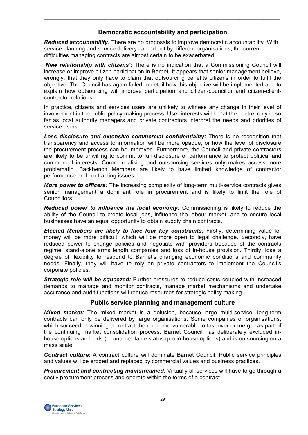# **Democratic accountability and participation**

 $\_$  , and the state of the state of the state of the state of the state of the state of the state of the state of the state of the state of the state of the state of the state of the state of the state of the state of the

*Reduced accountability:* There are no proposals to improve democratic accountability. With service planning and service delivery carried out by different organisations, the current difficulties managing contracts are almost certain to be exacerbated.

*'New relationship with citizens':* There is no indication that a Commissioning Council will increase or improve citizen participation in Barnet. It appears that senior management believe, wrongly, that they only have to claim that outsourcing benefits citizens in order to fulfil the objective. The Council has again failed to detail how this objective will be implemented and to explain how outsourcing will improve participation and citizen-councillor and citizen-clientcontractor relations.

In practice, citizens and services users are unlikely to witness any change in their level of involvement in the public policy making process. User interests will be 'at the centre' only in so far as local authority managers and private contractors interpret the needs and priorities of service users.

*Less disclosure and extensive commercial confidentiality:* There is no recognition that transparency and access to information will be more opaque, or how the level of disclosure the procurement process can be improved. Furthermore, the Council and private contractors are likely to be unwilling to commit to full disclosure of performance to protect political and commercial interests. Commercialising and outsourcing services only makes access more problematic. Backbench Members are likely to have limited knowledge of contractor performance and contracting issues.

*More power to officers:* The increasing complexity of long-term multi-service contracts gives senior management a dominant role in procurement and is likely to limit the role of Councillors.

*Reduced power to influence the local economy:* Commissioning is likely to reduce the ability of the Council to create local jobs, influence the labour market, and to ensure local businesses have an equal opportunity to obtain supply chain contracts.

*Elected Members are likely to face four key constraints:* Firstly, determining value for money will be more difficult, which will be more open to legal challenge. Secondly, have reduced power to change policies and negotiate with providers because of the contracts regime, stand-alone arms length companies and loss of in-house provision. Thirdly, lose a degree of flexibility to respond to Barnet's changing economic conditions and community needs. Finally, they will have to rely on private contractors to implement the Council's corporate policies.

*Strategic role will be squeezed:* Further pressures to reduce costs coupled with increased demands to manage and monitor contracts, manage market mechanisms and undertake assurance and audit functions will reduce resources for strategic policy making.

### **Public service planning and management culture**

*Mixed market:* The mixed market is a delusion, because large multi-service, long-term contracts can only be delivered by large organisations. Some companies or organisations, which succeed in winning a contract then become vulnerable to takeover or merger as part of the continuing market consolidation process. Barnet Council has deliberately excluded inhouse options and bids (or unacceptable status quo in-house options) and is outsourcing on a mass scale.

*Contract culture:* A contract culture will dominate Barnet Council. Public service principles and values will be eroded and replaced by commercial values and business practices.

*Procurement and contracting mainstreamed:* Virtually all services will have to go through a costly procurement process and operate within the terms of a contract.

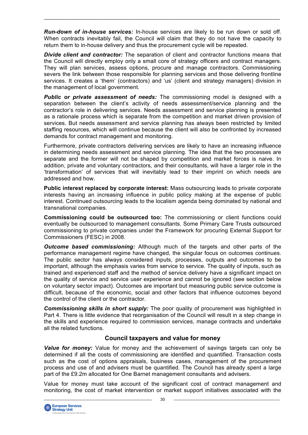*Run-down of in-house services:* In-house services are likely to be run down or sold off. When contracts inevitably fail, the Council will claim that they do not have the capacity to return them to in-house delivery and thus the procurement cycle will be repeated.

 $\_$  , and the state of the state of the state of the state of the state of the state of the state of the state of the state of the state of the state of the state of the state of the state of the state of the state of the

**Divide client and contractor:** The separation of client and contractor functions means that the Council will directly employ only a small core of strategy officers and contract managers. They will plan services, assess options, procure and manage contractors. Commissioning severs the link between those responsible for planning services and those delivering frontline services. It creates a 'them' (contractors) and 'us' (client and strategy managers) division in the management of local government.

*Public or private assessment of needs:* The commissioning model is designed with a separation between the client's activity of needs assessment/service planning and the contractor's role in delivering services. Needs assessment and service planning is presented as a rationale process which is separate from the competition and market driven provision of services. But needs assessment and service planning has always been restricted by limited staffing resources, which will continue because the client will also be confronted by increased demands for contract management and monitoring.

Furthermore, private contractors delivering services are likely to have an increasing influence in determining needs assessment and service planning. The idea that the two processes are separate and the former will not be shaped by competition and market forces is naive. In addition, private and voluntary contractors, and their consultants, will have a larger role in the 'transformation' of services that will inevitably lead to their imprint on which needs are addressed and how.

**Public interest replaced by corporate interest:** Mass outsourcing leads to private corporate interests having an increasing influence in public policy making at the expense of public interest. Continued outsourcing leads to the localism agenda being dominated by national and transnational companies.

**Commissioning could be outsourced too:** The commissioning or client functions could eventually be outsourced to management consultants. Some Primary Care Trusts outsourced commissioning to private companies under the Framework for procuring External Support for Commissioners (FESC) in 2008.

*Outcome based commissioning:* Although much of the targets and other parts of the performance management regime have changed, the singular focus on outcomes continues. The public sector has always considered inputs, processes, outputs and outcomes to be important, although the emphasis varies from service to service. The quality of inputs, such as trained and experienced staff and the method of service delivery have a significant impact on the quality of service and service user experience and cannot be ignored (see section below on voluntary sector impact). Outcomes are important but measuring public service outcome is difficult, because of the economic, social and other factors that influence outcomes beyond the control of the client or the contractor.

*Commissioning skills in short supply:* The poor quality of procurement was highlighted in Part 4. There is little evidence that reorganisation of the Council will result in a step change in the skills and experience required to commission services, manage contracts and undertake all the related functions.

# **Council taxpayers and value for money**

*Value for money:* Value for money and the achievement of savings targets can only be determined if all the costs of commissioning are identified and quantified. Transaction costs such as the cost of options appraisals, business cases, management of the procurement process and use of and advisers must be quantified. The Council has already spent a large part of the £9.2m allocated for One Barnet management consultants and advisers.

Value for money must take account of the significant cost of contract management and monitoring, the cost of market intervention or market support initiatives associated with the

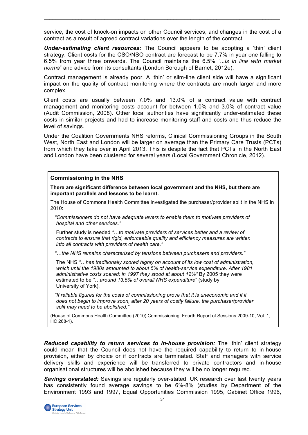service, the cost of knock-on impacts on other Council services, and changes in the cost of a contract as a result of agreed contract variations over the length of the contract.

 $\_$  , and the state of the state of the state of the state of the state of the state of the state of the state of the state of the state of the state of the state of the state of the state of the state of the state of the

*Under-estimating client resources:* The Council appears to be adopting a 'thin' client strategy. Client costs for the CSO/NSO contract are forecast to be 7.7% in year one falling to 6.5% from year three onwards. The Council maintains the 6.5% *"...is in line with market norms*" and advice from its consultants (London Borough of Barnet, 2012e).

Contract management is already poor. A 'thin' or slim-line client side will have a significant impact on the quality of contract monitoring where the contracts are much larger and more complex.

Client costs are usually between 7.0% and 13.0% of a contract value with contract management and monitoring costs account for between 1.0% and 3.0% of contract value (Audit Commission, 2008). Other local authorities have significantly under-estimated these costs in similar projects and had to increase monitoring staff and costs and thus reduce the level of savings.

Under the Coalition Governments NHS reforms, Clinical Commissioning Groups in the South West, North East and London will be larger on average than the Primary Care Trusts (PCTs) from which they take over in April 2013. This is despite the fact that PCTs in the North East and London have been clustered for several years (Local Government Chronicle, 2012).

#### **Commissioning in the NHS**

**There are significant difference between local government and the NHS, but there are important parallels and lessons to be learnt.**

The House of Commons Health Committee investigated the purchaser/provider split in the NHS in 2010:

 *"Commissioners do not have adequate levers to enable them to motivate providers of hospital and other services."*

 Further study is needed *"…to motivate providers of services better and a review of contracts to ensure that rigid, enforceable quality and efficiency measures are written into all contracts with providers of health care."*

 *"…the NHS remains characterised by tensions between purchasers and providers."* 

 The NHS *"…has traditionally scored highly on account of its low cost of administration, which until the 1980s amounted to about 5% of health-service expenditure. After 1981* administrative costs soared; in 1997 they stood at about 12%" By 2005 they were estimated to be *"…around 13.5% of overall NHS expenditure*" (study by University of York).

 *"If reliable figures for the costs of commissioning prove that it is uneconomic and if it does not begin to improve soon, after 20 years of costly failure, the purchaser/provider split may need to be abolished."*

(House of Commons Health Committee (2010) Commissioning, Fourth Report of Sessions 2009-10, Vol. 1,  $HC 268-1$ ).

*Reduced capability to return services to in-house provision:* The 'thin' client strategy could mean that the Council does not have the required capability to return to in-house provision, either by choice or if contracts are terminated. Staff and managers with service delivery skills and experience will be transferred to private contractors and in-house organisational structures will be abolished because they will be no longer required.

*Savings overstated:* Savings are regularly over-stated. UK research over last twenty years has consistently found average savings to be 6%-8% (studies by Department of the Environment 1993 and 1997, Equal Opportunities Commission 1995, Cabinet Office 1996,

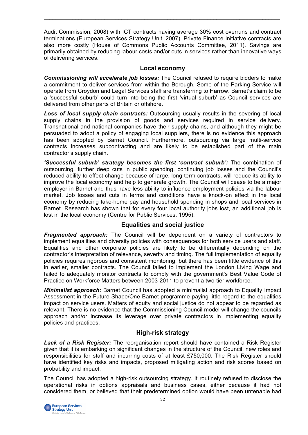Audit Commission, 2008) with ICT contracts having average 30% cost overruns and contract terminations (European Services Strategy Unit, 2007). Private Finance Initiative contracts are also more costly (House of Commons Public Accounts Committee, 2011). Savings are primarily obtained by reducing labour costs and/or cuts in services rather than innovative ways of delivering services.

 $\_$  , and the state of the state of the state of the state of the state of the state of the state of the state of the state of the state of the state of the state of the state of the state of the state of the state of the

### **Local economy**

*Commissioning will accelerate job losses:* The Council refused to require bidders to make a commitment to deliver services from within the Borough. Some of the Parking Service will operate from Croydon and Legal Services staff are transferring to Harrow. Barnet's claim to be a 'successful suburb' could turn into being the first 'virtual suburb' as Council services are delivered from other parts of Britain or offshore.

*Loss of local supply chain contracts:* Outsourcing usually results in the severing of local supply chains in the provision of goods and services required in service delivery. Transnational and national companies have their supply chains, and although they might be persuaded to adopt a policy of engaging local suppliers, there is no evidence this approach has been adopted by Barnet Council. Furthermore, outsourcing via large multi-service contracts increases subcontracting and are likely to be established part of the main contractor's supply chain.

*'Successful suburb' strategy becomes the first 'contract suburb':* The combination of outsourcing, further deep cuts in public spending, continuing job losses and the Council's reduced ability to effect change because of large, long-term contracts, will reduce its ability to improve the local economy and help to generate growth. The Council will cease to be a major employer in Barnet and thus have less ability to influence employment policies via the labour market. Job losses and cuts in terms and conditions have a knock-on effect in the local economy by reducing take-home pay and household spending in shops and local services in Barnet. Research has shown that for every four local authority jobs lost, an additional job is lost in the local economy (Centre for Public Services, 1995).

### **Equalities and social justice**

*Fragmented approach:* The Council will be dependent on a variety of contractors to implement equalities and diversity policies with consequences for both service users and staff. Equalities and other corporate policies are likely to be differentially depending on the contractor's interpretation of relevance, severity and timing. The full implementation of equality policies requires rigorous and consistent monitoring, but there has been little evidence of this in earlier, smaller contracts. The Council failed to implement the London Living Wage and failed to adequately monitor contracts to comply with the government's Best Value Code of Practice on Workforce Matters between 2003-2011 to prevent a two-tier workforce.

*Minimalist approach:* Barnet Council has adopted a minimalist approach to Equality Impact Assessment in the Future Shape/One Barnet programme paying little regard to the equalities impact on service users. Matters of equity and social justice do not appear to be regarded as relevant. There is no evidence that the Commissioning Council model will change the councils approach and/or increase its leverage over private contractors in implementing equality policies and practices.

# **High-risk strategy**

*Lack of a Risk Register:* The reorganisation report should have contained a Risk Register given that it is embarking on significant changes in the structure of the Council, new roles and responsibilities for staff and incurring costs of at least £750,000. The Risk Register should have identified key risks and impacts, proposed mitigating action and risk scores based on probability and impact.

The Council has adopted a high-risk outsourcing strategy. It routinely refused to disclose the operational risks in options appraisals and business cases, either because it had not considered them, or believed that their predetermined option would have been untenable had

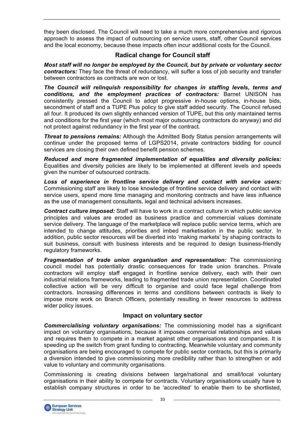they been disclosed. The Council will need to take a much more comprehensive and rigorous approach to assess the impact of outsourcing on service users, staff, other Council services and the local economy, because these impacts often incur additional costs for the Council.

 $\_$  , and the state of the state of the state of the state of the state of the state of the state of the state of the state of the state of the state of the state of the state of the state of the state of the state of the

### **Radical change for Council staff**

*Most staff will no longer be employed by the Council, but by private or voluntary sector contractors:* They face the threat of redundancy, will suffer a loss of job security and transfer between contractors as contracts are won or lost.

*The Council will relinquish responsibility for changes in staffing levels, terms and conditions, and the employment practices of contractors:* Barnet UNISON has consistently pressed the Council to adopt progressive in-house options, in-house bids, secondment of staff and a TUPE Plus policy to give staff added security. The Council refused all four. It produced its own slightly enhanced version of TUPE, but this only maintained terms and conditions for the first year (which most major outsourcing contractors do anyway) and did not protect against redundancy in the first year of the contract.

*Threat to pensions remains:* Although the Admitted Body Status pension arrangements will continue under the proposed terms of LGPS2014, private contractors bidding for council services are closing their own defined benefit pension schemes.

*Reduced and more fragmented implementation of equalities and diversity policies:* Equalities and diversity policies are likely to be implemented at different levels and speeds given the number of outsourced contracts.

*Loss of experience in frontline service delivery and contact with service users:* Commissioning staff are likely to lose knowledge of frontline service delivery and contact with service users, spend more time managing and monitoring contracts and have less influence as the use of management consultants, legal and technical advisers increases.

*Contract culture imposed:* Staff will have to work in a contract culture in which public service principles and values are eroded as business practice and commercial values dominate service delivery. The language of the marketplace will replace public service terms, which are intended to change attitudes, priorities and imbed marketisation in the public sector. In addition, public sector resources will be diverted into 'making markets' by shaping contracts to suit business, consult with business interests and be required to design business-friendly regulatory frameworks.

*Fragmentation of trade union organisation and representation:* The commissioning council model has potentially drastic consequences for trade union branches. Private contractors will employ staff engaged in frontline service delivery, each with their own industrial relations frameworks, leading to fragmented trade union representation. Coordinated collective action will be very difficult to organise and could face legal challenge from contractors. Increasing differences in terms and conditions between contracts is likely to impose more work on Branch Officers, potentially resulting in fewer resources to address wider policy issues.

# **Impact on voluntary sector**

*Commercialising voluntary organisations:* The commissioning model has a significant impact on voluntary organisations, because it imposes commercial relationships and values and requires them to compete in a market against other organisations and companies. It is speeding up the switch from grant funding to contracting. Meanwhile voluntary and community organisations are being encouraged to compete for public sector contracts, but this is primarily a diversion intended to give commissioning more credibility rather than to strengthen or add value to voluntary and community organisations.

Commissioning is creating divisions between large/national and small/local voluntary organisations in their ability to compete for contracts. Voluntary organisations usually have to establish company structures in order to be 'accredited' to enable them to be shortlisted,

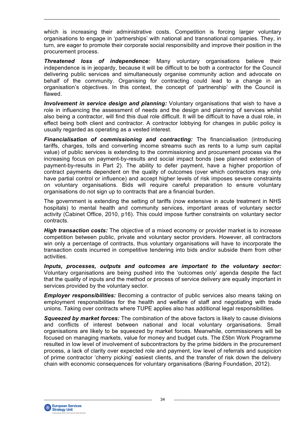which is increasing their administrative costs. Competition is forcing larger voluntary organisations to engage in 'partnerships' with national and transnational companies. They, in turn, are eager to promote their corporate social responsibility and improve their position in the procurement process.

 $\_$  , and the state of the state of the state of the state of the state of the state of the state of the state of the state of the state of the state of the state of the state of the state of the state of the state of the

*Threatened loss of independence:* Many voluntary organisations believe their independence is in jeopardy, because it will be difficult to be both a contractor for the Council delivering public services and simultaneously organise community action and advocate on behalf of the community. Organising for contracting could lead to a change in an organisation's objectives. In this context, the concept of 'partnership' with the Council is flawed.

*Involvement in service design and planning:* Voluntary organisations that wish to have a role in influencing the assessment of needs and the design and planning of services whilst also being a contractor, will find this dual role difficult. It will be difficult to have a dual role, in effect being both client and contractor. A contractor lobbying for changes in public policy is usually regarded as operating as a vested interest.

*Financialisation of commissioning and contracting:* The financialisation (introducing tariffs, charges, tolls and converting income streams such as rents to a lump sum capital value) of public services is extending to the commissioning and procurement process via the increasing focus on payment-by-results and social impact bonds (see planned extension of payment-by-results in Part 2). The ability to defer payment, have a higher proportion of contract payments dependent on the quality of outcomes (over which contractors may only have partial control or influence) and accept higher levels of risk imposes severe constraints on voluntary organisations. Bids will require careful preparation to ensure voluntary organisations do not sign up to contracts that are a financial burden.

The government is extending the setting of tariffs (now extensive in acute treatment in NHS hospitals) to mental health and community services, important areas of voluntary sector activity (Cabinet Office, 2010, p16). This could impose further constraints on voluntary sector contracts.

*High transaction costs:* The objective of a mixed economy or provider market is to increase competition between public, private and voluntary sector providers. However, all contractors win only a percentage of contracts, thus voluntary organisations will have to incorporate the transaction costs incurred in competitive tendering into bids and/or subside them from other activities.

*Inputs, processes, outputs and outcomes are important to the voluntary sector:* Voluntary organisations are being pushed into the 'outcomes only' agenda despite the fact that the quality of inputs and the method or process of service delivery are equally important in services provided by the voluntary sector.

*Employer responsibilities:* Becoming a contractor of public services also means taking on employment responsibilities for the health and welfare of staff and negotiating with trade unions. Taking over contracts where TUPE applies also has additional legal responsibilities.

*Squeezed by market forces:* The combination of the above factors is likely to cause divisions and conflicts of interest between national and local voluntary organisations. Small organisations are likely to be squeezed by market forces. Meanwhile, commissioners will be focused on managing markets, value for money and budget cuts. The £5bn Work Programme resulted in low level of involvement of subcontractors by the prime bidders in the procurement process, a lack of clarity over expected role and payment, low level of referrals and suspicion of prime contractor 'cherry picking' easiest clients, and the transfer of risk down the delivery chain with economic consequences for voluntary organisations (Baring Foundation, 2012).

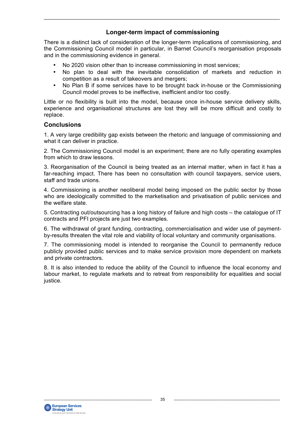# **Longer-term impact of commissioning**

 $\_$  , and the state of the state of the state of the state of the state of the state of the state of the state of the state of the state of the state of the state of the state of the state of the state of the state of the

There is a distinct lack of consideration of the longer-term implications of commissioning, and the Commissioning Council model in particular, in Barnet Council's reorganisation proposals and in the commissioning evidence in general.

- No 2020 vision other than to increase commissioning in most services;
- No plan to deal with the inevitable consolidation of markets and reduction in competition as a result of takeovers and mergers;
- No Plan B if some services have to be brought back in-house or the Commissioning Council model proves to be ineffective, inefficient and/or too costly.

Little or no flexibility is built into the model, because once in-house service delivery skills, experience and organisational structures are lost they will be more difficult and costly to replace.

### **Conclusions**

1. A very large credibility gap exists between the rhetoric and language of commissioning and what it can deliver in practice.

2. The Commissioning Council model is an experiment; there are no fully operating examples from which to draw lessons.

3. Reorganisation of the Council is being treated as an internal matter, when in fact it has a far-reaching impact. There has been no consultation with council taxpayers, service users, staff and trade unions.

4. Commissioning is another neoliberal model being imposed on the public sector by those who are ideologically committed to the marketisation and privatisation of public services and the welfare state.

5. Contracting out/outsourcing has a long history of failure and high costs – the catalogue of IT contracts and PFI projects are just two examples.

6. The withdrawal of grant funding, contracting, commercialisation and wider use of paymentby-results threaten the vital role and viability of local voluntary and community organisations.

7. The commissioning model is intended to reorganise the Council to permanently reduce publicly provided public services and to make service provision more dependent on markets and private contractors.

8. It is also intended to reduce the ability of the Council to influence the local economy and labour market, to regulate markets and to retreat from responsibility for equalities and social justice.

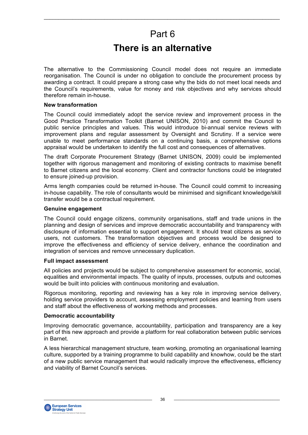# Part 6

 $\_$  , and the state of the state of the state of the state of the state of the state of the state of the state of the state of the state of the state of the state of the state of the state of the state of the state of the

# **There is an alternative**

The alternative to the Commissioning Council model does not require an immediate reorganisation. The Council is under no obligation to conclude the procurement process by awarding a contract. It could prepare a strong case why the bids do not meet local needs and the Council's requirements, value for money and risk objectives and why services should therefore remain in-house.

#### **New transformation**

The Council could immediately adopt the service review and improvement process in the Good Practice Transformation Toolkit (Barnet UNISON, 2010) and commit the Council to public service principles and values. This would introduce bi-annual service reviews with improvement plans and regular assessment by Oversight and Scrutiny. If a service were unable to meet performance standards on a continuing basis, a comprehensive options appraisal would be undertaken to identify the full cost and consequences of alternatives.

The draft Corporate Procurement Strategy (Barnet UNISON, 2009) could be implemented together with rigorous management and monitoring of existing contracts to maximise benefit to Barnet citizens and the local economy. Client and contractor functions could be integrated to ensure joined-up provision.

Arms length companies could be returned in-house. The Council could commit to increasing in-house capability. The role of consultants would be minimised and significant knowledge/skill transfer would be a contractual requirement.

#### **Genuine engagement**

The Council could engage citizens, community organisations, staff and trade unions in the planning and design of services and improve democratic accountability and transparency with disclosure of information essential to support engagement. It should treat citizens as service users, not customers. The transformation objectives and process would be designed to improve the effectiveness and efficiency of service delivery, enhance the coordination and integration of services and remove unnecessary duplication.

#### **Full impact assessment**

All policies and projects would be subject to comprehensive assessment for economic, social, equalities and environmental impacts. The quality of inputs, processes, outputs and outcomes would be built into policies with continuous monitoring and evaluation.

Rigorous monitoring, reporting and reviewing has a key role in improving service delivery, holding service providers to account, assessing employment policies and learning from users and staff about the effectiveness of working methods and processes.

#### **Democratic accountability**

Improving democratic governance, accountability, participation and transparency are a key part of this new approach and provide a platform for real collaboration between public services in Barnet.

A less hierarchical management structure, team working, promoting an organisational learning culture, supported by a training programme to build capability and knowhow, could be the start of a new public service management that would radically improve the effectiveness, efficiency and viability of Barnet Council's services.

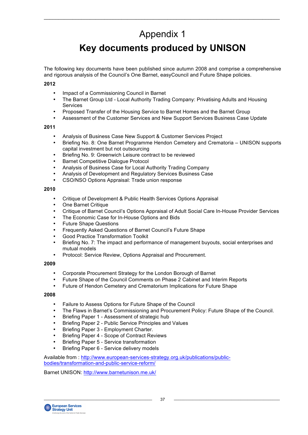# Appendix 1

 $\_$  , and the state of the state of the state of the state of the state of the state of the state of the state of the state of the state of the state of the state of the state of the state of the state of the state of the

# **Key documents produced by UNISON**

The following key documents have been published since autumn 2008 and comprise a comprehensive and rigorous analysis of the Council's One Barnet, easyCouncil and Future Shape policies.

#### **2012**

- Impact of a Commissioning Council in Barnet
- The Barnet Group Ltd Local Authority Trading Company: Privatising Adults and Housing **Services**
- Proposed Transfer of the Housing Service to Barnet Homes and the Barnet Group
- Assessment of the Customer Services and New Support Services Business Case Update

#### **2011**

- Analysis of Business Case New Support & Customer Services Project
- Briefing No. 8: One Barnet Programme Hendon Cemetery and Crematoria UNISON supports capital investment but not outsourcing
- Briefing No. 9: Greenwich Leisure contract to be reviewed
- Barnet Competitive Dialogue Protocol
- Analysis of Business Case for Local Authority Trading Company
- Analysis of Development and Regulatory Services Business Case
- CSO/NSO Options Appraisal: Trade union response

#### **2010**

- Critique of Development & Public Health Services Options Appraisal
- One Barnet Critique
- Critique of Barnet Council's Options Appraisal of Adult Social Care In-House Provider Services
- The Economic Case for In-House Options and Bids
- Future Shape Questions
- Frequently Asked Questions of Barnet Council's Future Shape
- Good Practice Transformation Toolkit
- Briefing No. 7: The impact and performance of management buyouts, social enterprises and mutual models
- Protocol: Service Review, Options Appraisal and Procurement.

#### **2009**

- Corporate Procurement Strategy for the London Borough of Barnet
- Future Shape of the Council Comments on Phase 2 Cabinet and Interim Reports
- Future of Hendon Cemetery and Crematorium Implications for Future Shape

#### **2008**

- Failure to Assess Options for Future Shape of the Council
- The Flaws in Barnet's Commissioning and Procurement Policy: Future Shape of the Council.
- Briefing Paper 1 Assessment of strategic hub
- Briefing Paper 2 Public Service Principles and Values
- Briefing Paper 3 Employment Charter.
- Briefing Paper 4 Scope of Contract Reviews
- Briefing Paper 5 Service transformation
- Briefing Paper 6 Service delivery models

Available from : http://www.european-services-strategy.org.uk/publications/publicbodies/transformation-and-public-service-reform/

Barnet UNISON: http://www.barnetunison.me.uk/

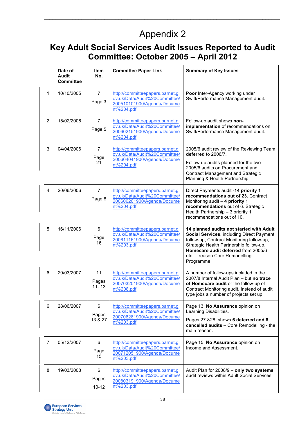# Appendix 2

 $\_$  , and the state of the state of the state of the state of the state of the state of the state of the state of the state of the state of the state of the state of the state of the state of the state of the state of the

# **Key Adult Social Services Audit Issues Reported to Audit Committee: October 2005 – April 2012**

|                | Date of<br><b>Audit</b><br><b>Committee</b> | Item<br>No.                  | <b>Committee Paper Link</b>                                                                                  | <b>Summary of Key Issues</b>                                                                                                                                                                                                                                         |
|----------------|---------------------------------------------|------------------------------|--------------------------------------------------------------------------------------------------------------|----------------------------------------------------------------------------------------------------------------------------------------------------------------------------------------------------------------------------------------------------------------------|
| 1              | 10/10/2005                                  | $\overline{7}$<br>Page 3     | http://committeepapers.barnet.g<br>ov.uk/Data/Audit%20Committee/<br>200510101900/Agenda/Docume<br>nt%204.pdf | Poor Inter-Agency working under<br>Swift/Performance Management audit.                                                                                                                                                                                               |
| $\overline{2}$ | 15/02/2006                                  | $\overline{7}$<br>Page 5     | http://committeepapers.barnet.g<br>ov.uk/Data/Audit%20Committee/<br>200602151900/Agenda/Docume<br>nt%204.pdf | Follow-up audit shows non-<br>implementation of recommendations on<br>Swift/Performance Management audit.                                                                                                                                                            |
| 3              | 04/04/2006                                  | $\overline{7}$<br>Page<br>21 | http://committeepapers.barnet.g<br>ov.uk/Data/Audit%20Committee/<br>200604041900/Agenda/Docume<br>nt%204.pdf | 2005/6 audit review of the Reviewing Team<br>deferred to 2006/7.<br>Follow-up audits planned for the two<br>2005/6 audits on Procurement and<br><b>Contract Management and Strategic</b><br>Planning & Health Partnership.                                           |
| 4              | 20/06/2006                                  | $\overline{7}$<br>Page 8     | http://committeepapers.barnet.g<br>ov.uk/Data/Audit%20Committee/<br>200606201900/Agenda/Docume<br>nt%204.pdf | Direct Payments audit -14 priority 1<br>recommendations out of 23. Contract<br>Monitoring audit - 4 priority 1<br>recommendations out of 6. Strategic<br>Health Partnership - 3 priority 1<br>recommendations out of 10.                                             |
| 5              | 16/11/2006                                  | 6<br>Page<br>16              | http://committeepapers.barnet.g<br>ov.uk/Data/Audit%20Committee/<br>200611161900/Agenda/Docume<br>nt%203.pdf | 14 planned audits not started with Adult<br>Social Services, including Direct Payment<br>follow-up, Contract Monitoring follow-up,<br>Strategic Health Partnership follow-up,<br>Homecare audit deferred from 2005/6<br>etc. - reason Core Remodelling<br>Programme. |
| 6              | 20/03/2007                                  | 11<br>Pages<br>$11 - 13$     | http://committeepapers.barnet.g<br>ov.uk/Data/Audit%20Committee/<br>200703201900/Agenda/Docume<br>nt%208.pdf | A number of follow-ups included in the<br>2007/8 Internal Audit Plan - but no trace<br>of Homecare audit or the follow-up of<br>Contract Monitoring audit. Instead of audit<br>type jobs a number of projects set up.                                                |
| 6              | 28/06/2007                                  | 6<br>Pages<br>13 & 27        | http://committeepapers.barnet.g<br>ov.uk/Data/Audit%20Committee/<br>200706281900/Agenda/Docume<br>nt%203.pdf | Page 13: No Assurance opinion on<br>Learning Disabilities.<br>Pages 27 &28: shows 6 deferred and 8<br>cancelled audits - Core Remodelling - the<br>main reason.                                                                                                      |
| 7              | 05/12/2007                                  | 6<br>Page<br>15              | http://committeepapers.barnet.g<br>ov.uk/Data/Audit%20Committee/<br>200712051900/Agenda/Docume<br>nt%203.pdf | Page 15: No Assurance opinion on<br>Income and Assessment.                                                                                                                                                                                                           |
| 8              | 19/03/2008                                  | 6<br>Pages<br>$10 - 12$      | http://committeepapers.barnet.g<br>ov.uk/Data/Audit%20Committee/<br>200803191900/Agenda/Docume<br>nt%203.pdf | Audit Plan for 2008/9 - only two systems<br>audit reviews within Adult Social Services.                                                                                                                                                                              |

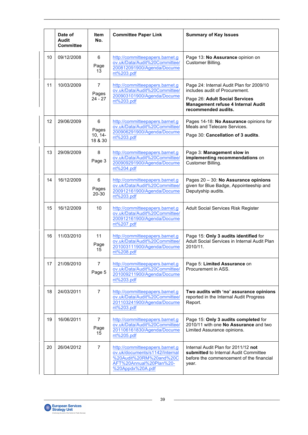|    | Date of<br>Audit<br><b>Committee</b> | <b>Item</b><br>No.                 | <b>Committee Paper Link</b>                                                                                                                 | <b>Summary of Key Issues</b>                                                                                                                                              |
|----|--------------------------------------|------------------------------------|---------------------------------------------------------------------------------------------------------------------------------------------|---------------------------------------------------------------------------------------------------------------------------------------------------------------------------|
| 10 | 09/12/2008                           | 6<br>Page<br>13                    | http://committeepapers.barnet.g<br>ov.uk/Data/Audit%20Committee/<br>200812091900/Agenda/Docume<br>nt%203.pdf                                | Page 13: No Assurance opinion on<br>Customer Billing.                                                                                                                     |
| 11 | 10/03/2009                           | 7<br>Pages<br>$24 - 27$            | http://committeepapers.barnet.g<br>ov.uk/Data/Audit%20Committee/<br>200903101900/Agenda/Docume<br>nt%203.pdf                                | Page 24: Internal Audit Plan for 2009/10<br>includes audit of Procurement.<br>Page 26: Adult Social Services<br>Management refuse 4 Internal Audit<br>recommended audits. |
| 12 | 29/06/2009                           | 6<br>Pages<br>$10, 14-$<br>18 & 30 | http://committeepapers.barnet.g<br>ov.uk/Data/Audit%20Committee/<br>200906291900/Agenda/Docume<br>nt%203.pdf                                | Pages 14-18: No Assurance opinions for<br>Meals and Telecare Services.<br>Page 30: Cancellation of 3 audits.                                                              |
| 13 | 29/09/2009                           | 8<br>Page 3                        | http://committeepapers.barnet.g<br>ov.uk/Data/Audit%20Committee/<br>200909291900/Agenda/Docume<br>nt%204.pdf                                | Page 3: Management slow in<br>implementing recommendations on<br>Customer Billing.                                                                                        |
| 14 | 16/12/2009                           | 6<br>Pages<br>20-30                | http://committeepapers.barnet.g<br>ov.uk/Data/Audit%20Committee/<br>200912161900/Agenda/Docume<br>nt%203.pdf                                | Pages 20 - 30: No Assurance opinions<br>given for Blue Badge, Appointeeship and<br>Deputyship audits.                                                                     |
| 15 | 16/12/2009                           | 10                                 | http://committeepapers.barnet.g<br>ov.uk/Data/Audit%20Committee/<br>200912161900/Agenda/Docume<br>nt%207.pdf                                | Adult Social Services Risk Register                                                                                                                                       |
| 16 | 11/03/2010                           | 11<br>Page<br>15                   | http://committeepapers.barnet.g<br>ov.uk/Data/Audit%20Committee/<br>201003111900/Agenda/Docume<br>nt%208.pdf                                | Page 15: Only 3 audits identified for<br>Adult Social Services in Internal Audit Plan<br>2010/11.                                                                         |
| 17 | 21/09/2010                           | $\overline{7}$<br>Page 5           | http://committeepapers.barnet.g<br>ov.uk/Data/Audit%20Committee/<br>201009211900/Agenda/Docume<br>nt%203.pdf                                | Page 5: Limited Assurance on<br>Procurement in ASS.                                                                                                                       |
| 18 | 24/03/2011                           | $\overline{7}$                     | http://committeepapers.barnet.g<br>ov.uk/Data/Audit%20Committee/<br>201103241900/Agenda/Docume<br>nt%203.pdf                                | Two audits with 'no' assurance opinions<br>reported in the Internal Audit Progress<br>Report.                                                                             |
| 19 | 16/06/2011                           | $\overline{7}$<br>Page<br>15       | http://committeepapers.barnet.g<br>ov.uk/Data/Audit%20Committee/<br>201106161830/Agenda/Docume<br>nt%205.pdf                                | Page 15: Only 3 audits completed for<br>2010/11 with one No Assurance and two<br>Limited Assurance opinions.                                                              |
| 20 | 26/04/2012                           | $\overline{7}$                     | http://committeepapers.barnet.g<br>ov.uk/documents/s1142/Internal<br>%20Audit%20RM%20and%20C<br>AFT%20Annual%20Plan%20-<br>%20Appdx%20A.pdf | Internal Audit Plan for 2011/12 not<br>submitted to Internal Audit Committee<br>before the commencement of the financial<br>year.                                         |

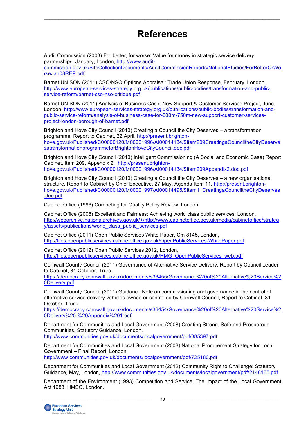# **References**

 $\_$  , and the state of the state of the state of the state of the state of the state of the state of the state of the state of the state of the state of the state of the state of the state of the state of the state of the

Audit Commission (2008) For better, for worse: Value for money in strategic service delivery partnerships, January, London, http://www.audit-

commission.gov.uk/SiteCollectionDocuments/AuditCommissionReports/NationalStudies/ForBetterOrWo rseJan08REP.pdf

Barnet UNISON (2011) CSO/NSO Options Appraisal: Trade Union Response, February, London, http://www.european-services-strategy.org.uk/publications/public-bodies/transformation-and-publicservice-reform/barnet-cso-nso-critique.pdf

Barnet UNISON (2011) Analysis of Business Case: New Support & Customer Services Project, June, London, http://www.european-services-strategy.org.uk/publications/public-bodies/transformation-andpublic-service-reform/analysis-of-business-case-for-600m-750m-new-support-customer-servicesproject-london-borough-of-barnet.pdf

Brighton and Hove City Council (2010) Creating a Council the City Deserves – a transformation programme, Report to Cabinet, 22 April, http://present.brightonhove.gov.uk/Published/C00000120/M00001996/AI00014134/\$Item209CreatingaCounciltheCityDeserve satransformationprogrammeforBrightonHoveCityCouncil.doc.pdf

Brighton and Hove City Council (2010) Intelligent Commissioning (A Social and Economic Case) Report Cabinet, Item 209, Appendix 2, http://present.brightonhove.gov.uk/Published/C00000120/M00001996/AI00014134/\$Item209Appendix2.doc.pdf

Brighton and Hove City Council (2010) Creating a Council the City Deserves – a new organisational structure, Report to Cabinet by Chief Executive, 27 May, Agenda Item 11, http://present.brightonhove.gov.uk/Published/C00000120/M00001997/AI00014495/\$Item11CreatingaCounciltheCityDeserves .doc.pdf

Cabinet Office (1996) Competing for Quality Policy Review, London.

Cabinet Office (2008) Excellent and Fairness: Achieving world class public services, London, http://webarchive.nationalarchives.gov.uk/+/http://www.cabinetoffice.gov.uk/media/cabinetoffice/strateg y/assets/publications/world\_class\_public\_services.pdf

Cabinet Office (2011) Open Public Services White Paper, Cm 8145, London, http://files.openpublicservices.cabinetoffice.gov.uk/OpenPublicServices-WhitePaper.pdf

Cabinet Office (2012) Open Public Services 2012, London, http://files.openpublicservices.cabinetoffice.gov.uk/HMG\_OpenPublicServices\_web.pdf

Cornwall County Council (2011) Governance of Alternative Service Delivery, Report by Council Leader to Cabinet, 31 October, Truro.

https://democracy.cornwall.gov.uk/documents/s36455/Governance%20of%20Alternative%20Service%2 0Delivery.pdf

Cornwall County Council (2011) Guidance Note on commissioning and governance in the control of alternative service delivery vehicles owned or controlled by Cornwall Council, Report to Cabinet, 31 October, Truro.

https://democracy.cornwall.gov.uk/documents/s36454/Governance%20of%20Alternative%20Service%2 0Delivery%20-%20Appendix%201.pdf

Department for Communities and Local Government (2008) Creating Strong, Safe and Prosperous Communities, Statutory Guidance, London. http://www.communities.gov.uk/documents/localgovernment/pdf/885397.pdf

Department for Communities and Local Government (2008) National Procurement Strategy for Local Government – Final Report, London. http://www.communities.gov.uk/documents/localgovernment/pdf/725180.pdf

Department for Communities and Local Government (2012) Community Right to Challenge: Statutory

Guidance, May, London, http://www.communities.gov.uk/documents/localgovernment/pdf/2148165.pdf

Department of the Environment (1993) Competition and Service: The Impact of the Local Government Act 1988, HMSO, London.

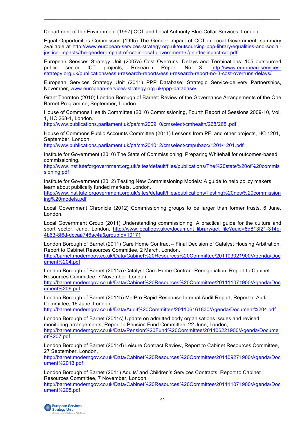Department of the Environment (1997) CCT and Local Authority Blue-Collar Services, London.

Equal Opportunities Commission (1995) The Gender Impact of CCT in Local Government, summary available at http://www.european-services-strategy.org.uk/outsourcing-ppp-library/equalities-and-socialjustice-impacts/the-gender-impact-of-cct-in-local-government-s/gender-inpact-cct.pdf

 $\_$  , and the state of the state of the state of the state of the state of the state of the state of the state of the state of the state of the state of the state of the state of the state of the state of the state of the

European Services Strategy Unit (2007a) Cost Overruns, Delays and Terminations: 105 outsourced public sector ICT projects, Research Report No 3, http://www.european-servicesstrategy.org.uk/publications/essu-research-reports/essu-research-report-no-3-cost-overruns-delays/

European Services Strategy Unit (2011) PPP Database: Strategic Service-delivery Partnerships, November, www.european-services-strategy.org.uk/ppp-database/

Grant Thornton (2010) London Borough of Barnet: Review of the Governance Arrangements of the One Barnet Programme, September, London.

House of Commons Health Committee (2010) Commissioning, Fourth Report of Sessions 2009-10, Vol. 1, HC 268-1, London.

http://www.publications.parliament.uk/pa/cm200910/cmselect/cmhealth/268/268i.pdf

House of Commons Public Accounts Committee (2011) Lessons from PFI and other projects, HC 1201, September, London.

http://www.publications.parliament.uk/pa/cm201012/cmselect/cmpubacc/1201/1201.pdf

Institute for Government (2010) The State of Commissioning: Preparing Whitehall for outcomes-based commissioning,

http://www.instituteforgovernment.org.uk/sites/default/files/publications/The%20state%20of%20commis sioning.pdf

Institute for Government (2012) Testing New Commissioning Models: A guide to help policy makers learn about publically funded markets, London.

http://www.instituteforgovernment.org.uk/sites/default/files/publications/Testing%20new%20commission ing%20models.pdf

Local Government Chronicle (2012) Commissioning groups to be larger than former trusts, 6 June, London.

Local Government Group (2011) Understanding commissioning: A practical guide for the culture and sport sector, June, London, http://www.local.gov.uk/c/document\_library/get\_file?uuid=8d813f21-314e-4b63-8f6d-dccaa746ac4a&groupId=10171

London Borough of Barnet (2011) Care Home Contract – Final Decision of Catalyst Housing Arbitration, Report to Cabinet Resources Committee, 2 March, London, http://barnet.moderngov.co.uk/Data/Cabinet%20Resources%20Committee/201103021900/Agenda/Doc ument%204.pdf

London Borough of Barnet (2011a) Catalyst Care Home Contract Renegotiation, Report to Cabinet Resources Committee, 7 November, London,

http://barnet.moderngov.co.uk/Data/Cabinet%20Resources%20Committee/201111071900/Agenda/Doc ument%206.pdf

London Borough of Barnet (2011b) MetPro Rapid Response Internal Audit Report, Report to Audit Committee, 16 June, London,

http://barnet.moderngov.co.uk/Data/Audit%20Committee/201106161830/Agenda/Document%204.pdf

London Borough of Barnet (2011c) Update on admitted body organisations issues and revised monitoring arrangements, Report to Pension Fund Committee, 22 June, London, http://barnet.moderngov.co.uk/Data/Pension%20Fund%20Committee/201106221900/Agenda/Docume nt%207.pdf

London Borough of Barnet (2011d) Leisure Contract Review, Report to Cabinet Resources Committee, 27 September, London,

http://barnet.moderngov.co.uk/Data/Cabinet%20Resources%20Committee/201109271900/Agenda/Doc ument%2013.pdf

London Borough of Barnet (2011) Adults' and Children's Services Contracts, Report to Cabinet Resources Committee, 7 November, London,

http://barnet.moderngov.co.uk/Data/Cabinet%20Resources%20Committee/201111071900/Agenda/Doc ument%208.pdf